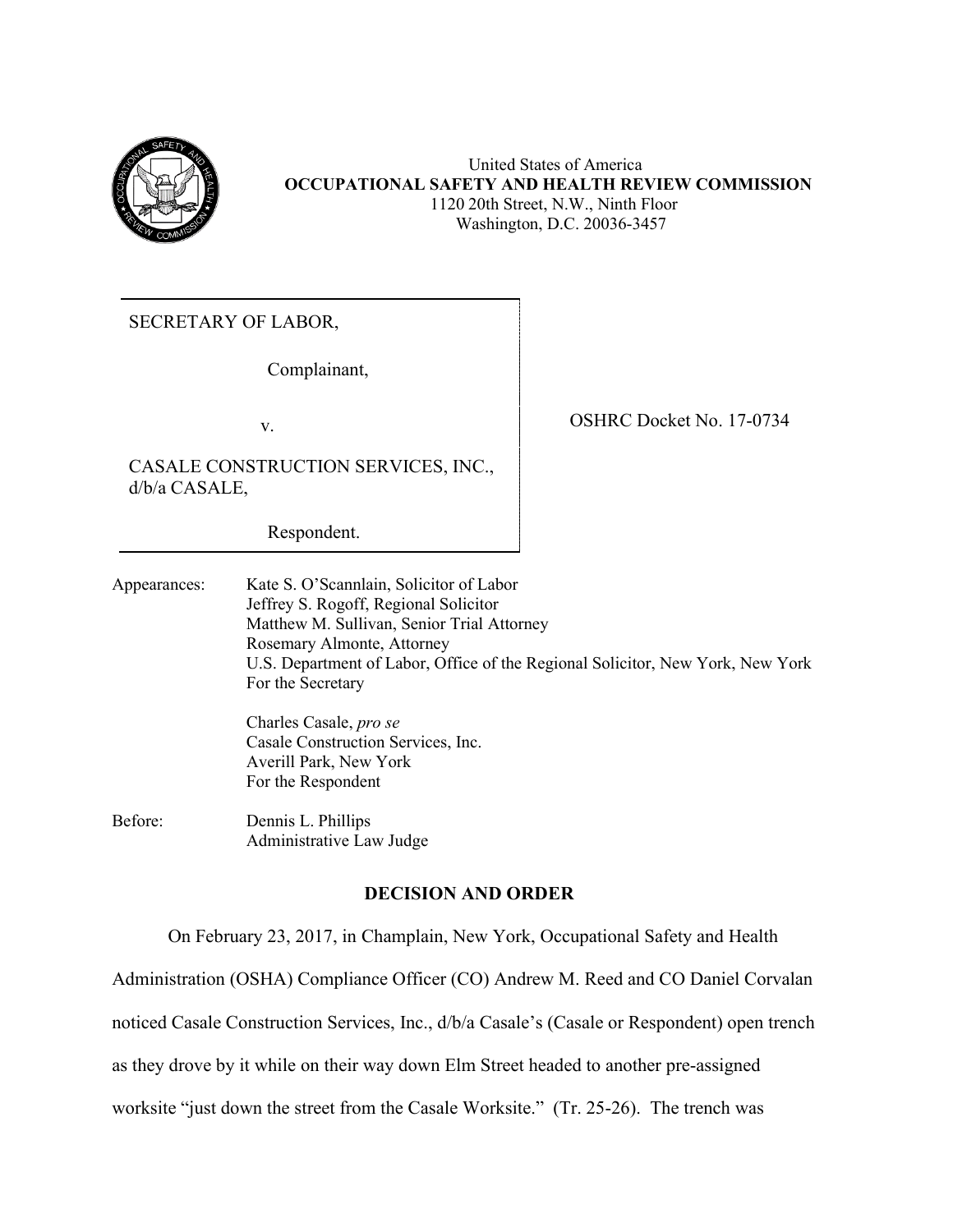

United States of America **OCCUPATIONAL SAFETY AND HEALTH REVIEW COMMISSION** 1120 20th Street, N.W., Ninth Floor Washington, D.C. 20036-3457

SECRETARY OF LABOR,

Complainant,

CASALE CONSTRUCTION SERVICES, INC., d/b/a CASALE,

Respondent.

v.

Appearances: Kate S. O'Scannlain, Solicitor of Labor Jeffrey S. Rogoff, Regional Solicitor Matthew M. Sullivan, Senior Trial Attorney Rosemary Almonte, Attorney U.S. Department of Labor, Office of the Regional Solicitor, New York, New York For the Secretary

> Charles Casale, *pro se* Casale Construction Services, Inc. Averill Park, New York For the Respondent

Before: Dennis L. Phillips Administrative Law Judge

# **DECISION AND ORDER**

On February 23, 2017, in Champlain, New York, Occupational Safety and Health

Administration (OSHA) Compliance Officer (CO) Andrew M. Reed and CO Daniel Corvalan

noticed Casale Construction Services, Inc., d/b/a Casale's (Casale or Respondent) open trench

as they drove by it while on their way down Elm Street headed to another pre-assigned

worksite "just down the street from the Casale Worksite." (Tr. 25-26). The trench was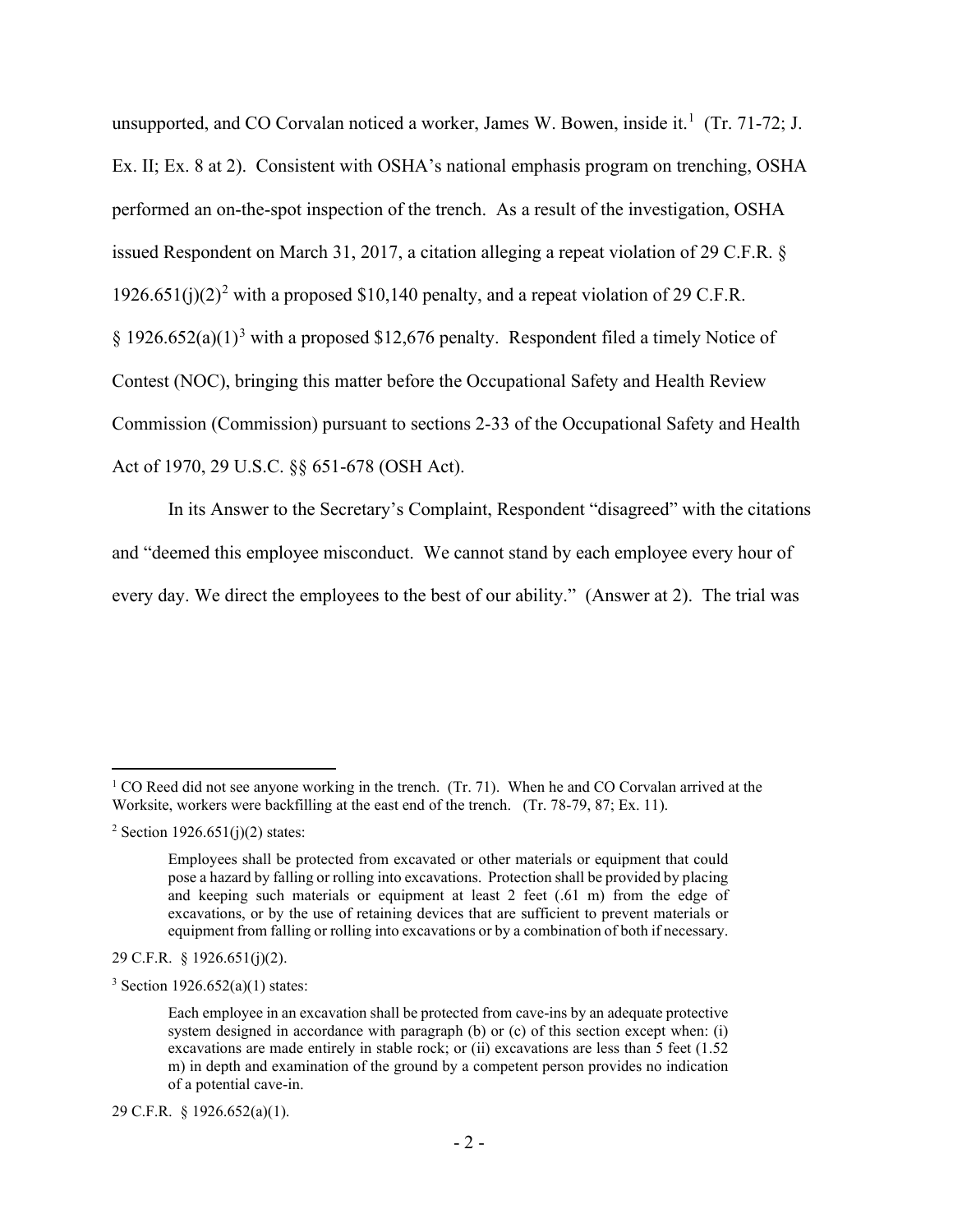unsupported, and CO Corvalan noticed a worker, James W. Bowen, inside it.<sup>[1](#page-1-0)</sup> (Tr. 71-72; J. Ex. II; Ex. 8 at 2). Consistent with OSHA's national emphasis program on trenching, OSHA performed an on-the-spot inspection of the trench. As a result of the investigation, OSHA issued Respondent on March 31, 2017, a citation alleging a repeat violation of 29 C.F.R. § 19[2](#page-1-1)6.651(j)(2)<sup>2</sup> with a proposed \$10,140 penalty, and a repeat violation of 29 C.F.R.  $\S 1926.652(a)(1)<sup>3</sup>$  $\S 1926.652(a)(1)<sup>3</sup>$  $\S 1926.652(a)(1)<sup>3</sup>$  with a proposed \$12,676 penalty. Respondent filed a timely Notice of Contest (NOC), bringing this matter before the Occupational Safety and Health Review Commission (Commission) pursuant to sections 2-33 of the Occupational Safety and Health Act of 1970, 29 U.S.C. §§ 651-678 (OSH Act).

In its Answer to the Secretary's Complaint, Respondent "disagreed" with the citations and "deemed this employee misconduct. We cannot stand by each employee every hour of every day. We direct the employees to the best of our ability." (Answer at 2). The trial was

29 C.F.R. § 1926.651(j)(2).

<span id="page-1-2"></span> $3$  Section 1926.652(a)(1) states:

29 C.F.R. § 1926.652(a)(1).

<span id="page-1-0"></span><sup>&</sup>lt;sup>1</sup> CO Reed did not see anyone working in the trench. (Tr. 71). When he and CO Corvalan arrived at the Worksite, workers were backfilling at the east end of the trench. (Tr. 78-79, 87; Ex. 11).

<span id="page-1-1"></span><sup>&</sup>lt;sup>2</sup> Section 1926.651(j)(2) states:

Employees shall be protected from excavated or other materials or equipment that could pose a hazard by falling or rolling into excavations. Protection shall be provided by placing and keeping such materials or equipment at least 2 feet (.61 m) from the edge of excavations, or by the use of retaining devices that are sufficient to prevent materials or equipment from falling or rolling into excavations or by a combination of both if necessary.

Each employee in an excavation shall be protected from cave-ins by an adequate protective system designed in accordance with paragraph (b) or (c) of this section except when: (i) excavations are made entirely in stable rock; or (ii) excavations are less than 5 feet (1.52 m) in depth and examination of the ground by a competent person provides no indication of a potential cave-in.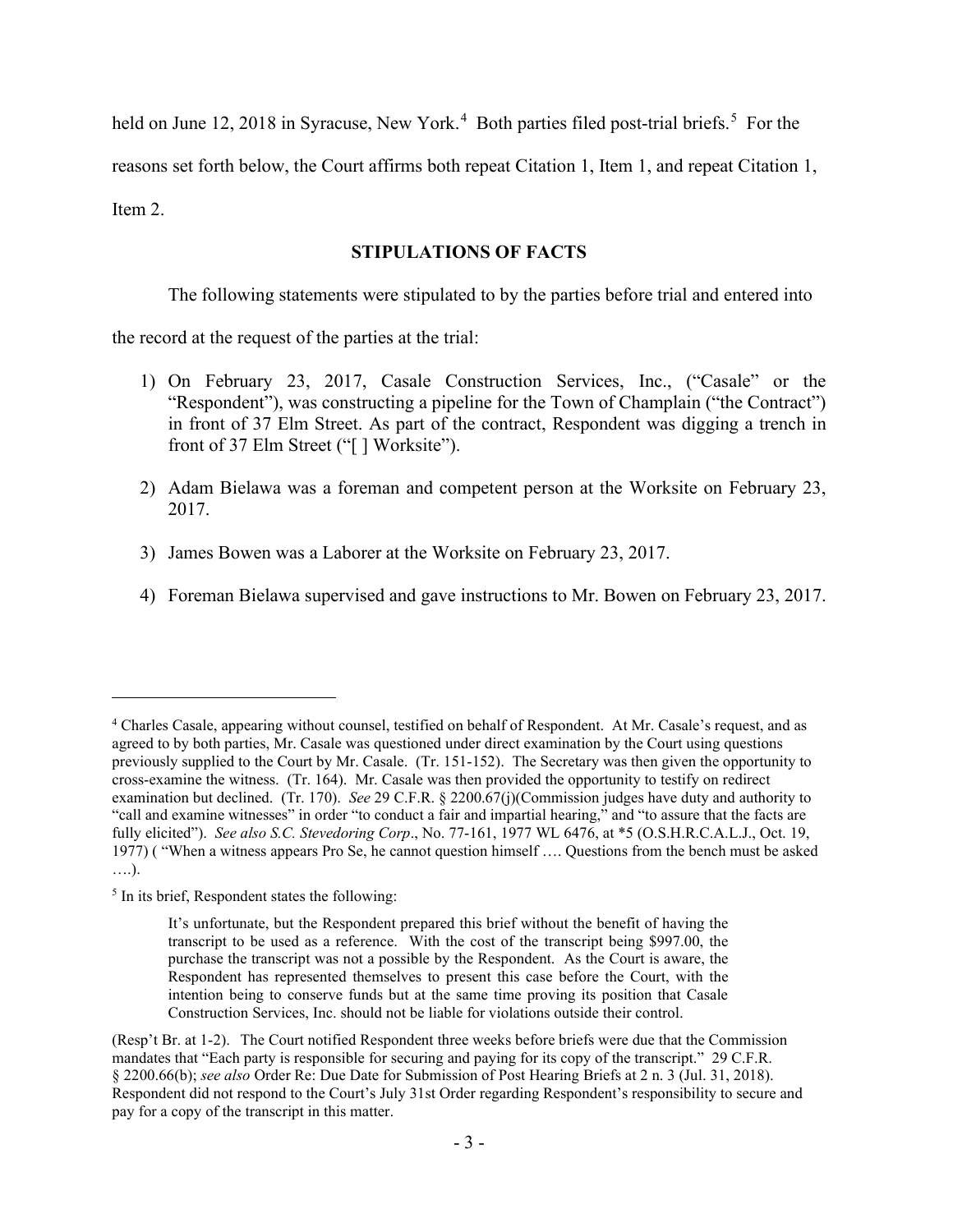held on June 12, 2018 in Syracuse, New York.<sup>[4](#page-2-0)</sup> Both parties filed post-trial briefs.<sup>[5](#page-2-1)</sup> For the

reasons set forth below, the Court affirms both repeat Citation 1, Item 1, and repeat Citation 1,

Item 2.

# **STIPULATIONS OF FACTS**

The following statements were stipulated to by the parties before trial and entered into

the record at the request of the parties at the trial:

- 1) On February 23, 2017, Casale Construction Services, Inc., ("Casale" or the "Respondent"), was constructing a pipeline for the Town of Champlain ("the Contract") in front of 37 Elm Street. As part of the contract, Respondent was digging a trench in front of 37 Elm Street ("[] Worksite").
- 2) Adam Bielawa was a foreman and competent person at the Worksite on February 23, 2017.
- 3) James Bowen was a Laborer at the Worksite on February 23, 2017.
- 4) Foreman Bielawa supervised and gave instructions to Mr. Bowen on February 23, 2017.

<span id="page-2-0"></span><sup>4</sup> Charles Casale, appearing without counsel, testified on behalf of Respondent. At Mr. Casale's request, and as agreed to by both parties, Mr. Casale was questioned under direct examination by the Court using questions previously supplied to the Court by Mr. Casale. (Tr. 151-152). The Secretary was then given the opportunity to cross-examine the witness. (Tr. 164). Mr. Casale was then provided the opportunity to testify on redirect examination but declined. (Tr. 170). *See* 29 C.F.R. § 2200.67(j)(Commission judges have duty and authority to "call and examine witnesses" in order "to conduct a fair and impartial hearing," and "to assure that the facts are fully elicited"). *See also S.C. Stevedoring Corp*., No. 77-161, 1977 WL 6476, at \*5 (O.S.H.R.C.A.L.J., Oct. 19, 1977) ( "When a witness appears Pro Se, he cannot question himself …. Questions from the bench must be asked ….).

<span id="page-2-1"></span><sup>&</sup>lt;sup>5</sup> In its brief, Respondent states the following:

It's unfortunate, but the Respondent prepared this brief without the benefit of having the transcript to be used as a reference. With the cost of the transcript being \$997.00, the purchase the transcript was not a possible by the Respondent. As the Court is aware, the Respondent has represented themselves to present this case before the Court, with the intention being to conserve funds but at the same time proving its position that Casale Construction Services, Inc. should not be liable for violations outside their control.

<sup>(</sup>Resp't Br. at 1-2). The Court notified Respondent three weeks before briefs were due that the Commission mandates that "Each party is responsible for securing and paying for its copy of the transcript." 29 C.F.R. § 2200.66(b); *see also* Order Re: Due Date for Submission of Post Hearing Briefs at 2 n. 3 (Jul. 31, 2018). Respondent did not respond to the Court's July 31st Order regarding Respondent's responsibility to secure and pay for a copy of the transcript in this matter.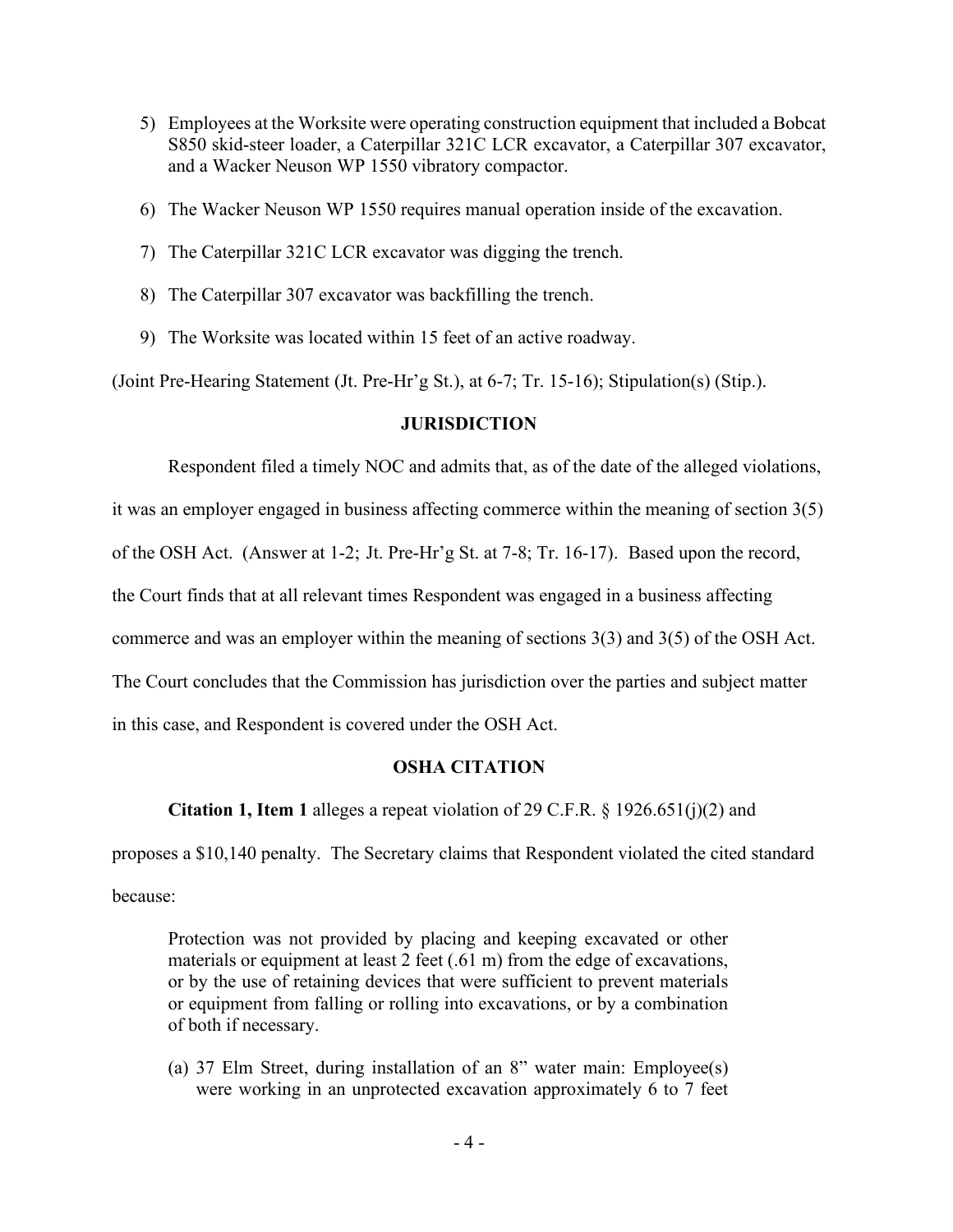- 5) Employees at the Worksite were operating construction equipment that included a Bobcat S850 skid-steer loader, a Caterpillar 321C LCR excavator, a Caterpillar 307 excavator, and a Wacker Neuson WP 1550 vibratory compactor.
- 6) The Wacker Neuson WP 1550 requires manual operation inside of the excavation.
- 7) The Caterpillar 321C LCR excavator was digging the trench.
- 8) The Caterpillar 307 excavator was backfilling the trench.
- 9) The Worksite was located within 15 feet of an active roadway.

(Joint Pre-Hearing Statement (Jt. Pre-Hr'g St.), at 6-7; Tr. 15-16); Stipulation(s) (Stip.).

### **JURISDICTION**

Respondent filed a timely NOC and admits that, as of the date of the alleged violations,

it was an employer engaged in business affecting commerce within the meaning of section 3(5)

of the OSH Act. (Answer at 1-2; Jt. Pre-Hr'g St. at 7-8; Tr. 16-17). Based upon the record,

the Court finds that at all relevant times Respondent was engaged in a business affecting

commerce and was an employer within the meaning of sections 3(3) and 3(5) of the OSH Act.

The Court concludes that the Commission has jurisdiction over the parties and subject matter

in this case, and Respondent is covered under the OSH Act.

## **OSHA CITATION**

**Citation 1, Item 1** alleges a repeat violation of 29 C.F.R. § 1926.651(j)(2) and

proposes a \$10,140 penalty. The Secretary claims that Respondent violated the cited standard because:

Protection was not provided by placing and keeping excavated or other materials or equipment at least 2 feet (.61 m) from the edge of excavations, or by the use of retaining devices that were sufficient to prevent materials or equipment from falling or rolling into excavations, or by a combination of both if necessary.

(a) 37 Elm Street, during installation of an 8" water main: Employee(s) were working in an unprotected excavation approximately 6 to 7 feet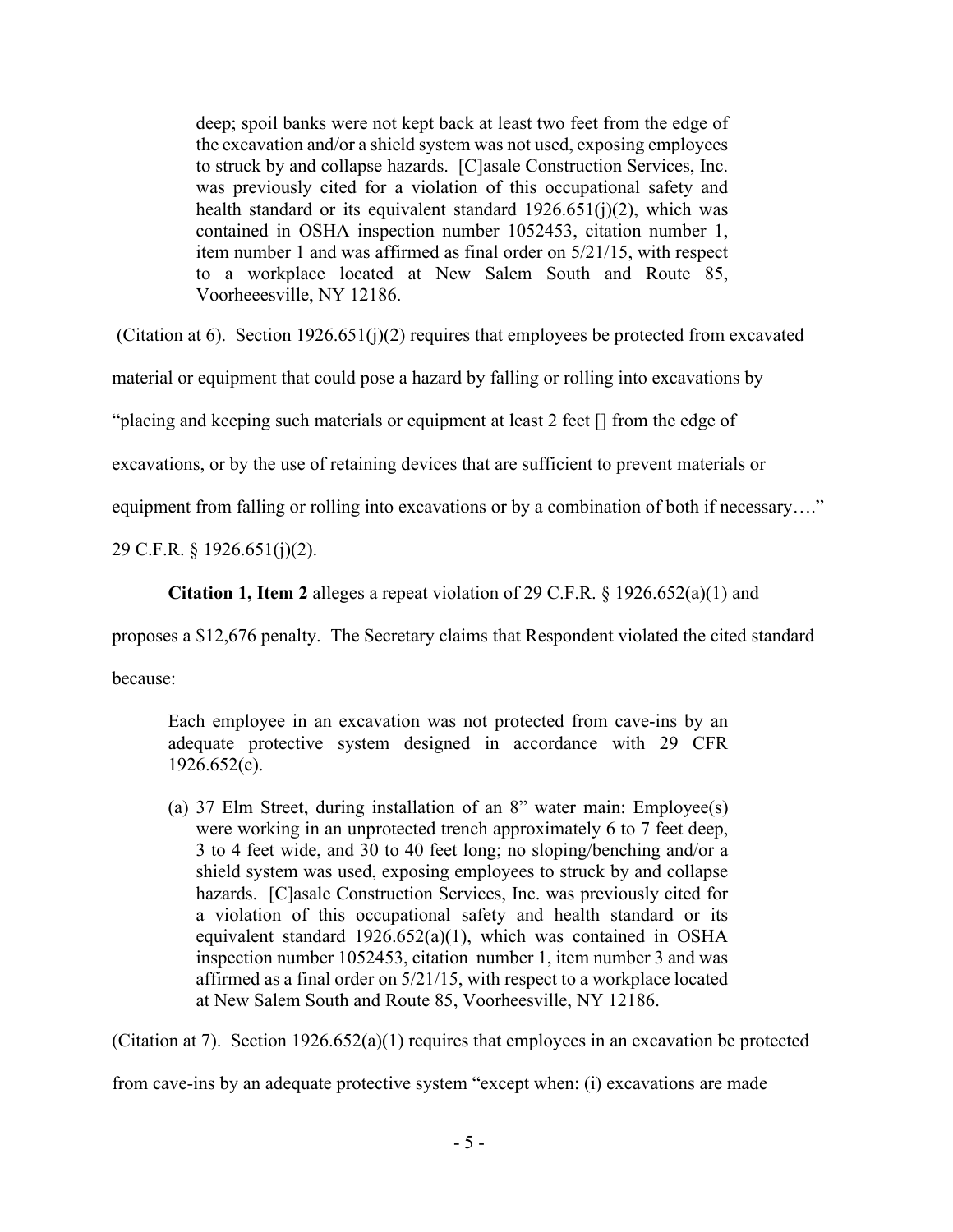deep; spoil banks were not kept back at least two feet from the edge of the excavation and/or a shield system was not used, exposing employees to struck by and collapse hazards. [C]asale Construction Services, Inc. was previously cited for a violation of this occupational safety and health standard or its equivalent standard  $1926.651(j)(2)$ , which was contained in OSHA inspection number 1052453, citation number 1, item number 1 and was affirmed as final order on 5/21/15, with respect to a workplace located at New Salem South and Route 85, Voorheeesville, NY 12186.

(Citation at 6). Section 1926.651(j)(2) requires that employees be protected from excavated

material or equipment that could pose a hazard by falling or rolling into excavations by

"placing and keeping such materials or equipment at least 2 feet [] from the edge of

excavations, or by the use of retaining devices that are sufficient to prevent materials or

equipment from falling or rolling into excavations or by a combination of both if necessary...."

29 C.F.R. § 1926.651(j)(2).

**Citation 1, Item 2** alleges a repeat violation of 29 C.F.R. § 1926.652(a)(1) and

proposes a \$12,676 penalty. The Secretary claims that Respondent violated the cited standard

because:

Each employee in an excavation was not protected from cave-ins by an adequate protective system designed in accordance with 29 CFR  $1926.652(c)$ .

(a) 37 Elm Street, during installation of an 8" water main: Employee(s) were working in an unprotected trench approximately 6 to 7 feet deep, 3 to 4 feet wide, and 30 to 40 feet long; no sloping/benching and/or a shield system was used, exposing employees to struck by and collapse hazards. [C]asale Construction Services, Inc. was previously cited for a violation of this occupational safety and health standard or its equivalent standard 1926.652(a)(1), which was contained in OSHA inspection number 1052453, citation number 1, item number 3 and was affirmed as a final order on 5/21/15, with respect to a workplace located at New Salem South and Route 85, Voorheesville, NY 12186.

(Citation at 7). Section  $1926.652(a)(1)$  requires that employees in an excavation be protected

from cave-ins by an adequate protective system "except when: (i) excavations are made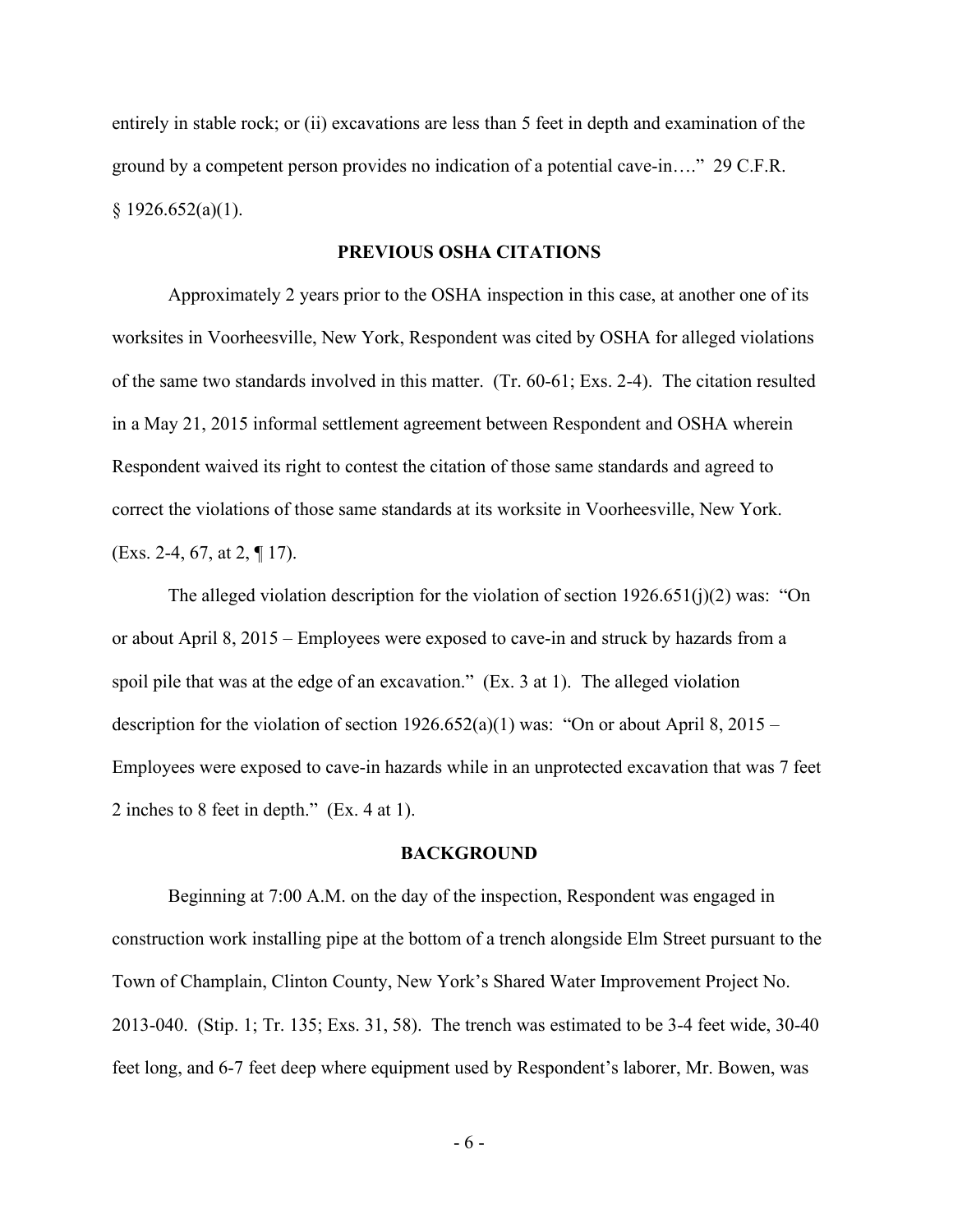entirely in stable rock; or (ii) excavations are less than 5 feet in depth and examination of the ground by a competent person provides no indication of a potential cave-in…." 29 C.F.R.  $§ 1926.652(a)(1).$ 

#### **PREVIOUS OSHA CITATIONS**

Approximately 2 years prior to the OSHA inspection in this case, at another one of its worksites in Voorheesville, New York, Respondent was cited by OSHA for alleged violations of the same two standards involved in this matter. (Tr. 60-61; Exs. 2-4). The citation resulted in a May 21, 2015 informal settlement agreement between Respondent and OSHA wherein Respondent waived its right to contest the citation of those same standards and agreed to correct the violations of those same standards at its worksite in Voorheesville, New York. (Exs. 2-4, 67, at 2, ¶ 17).

The alleged violation description for the violation of section  $1926.651(j)(2)$  was: "On or about April 8, 2015 – Employees were exposed to cave-in and struck by hazards from a spoil pile that was at the edge of an excavation." (Ex. 3 at 1). The alleged violation description for the violation of section  $1926.652(a)(1)$  was: "On or about April 8, 2015 – Employees were exposed to cave-in hazards while in an unprotected excavation that was 7 feet 2 inches to 8 feet in depth." (Ex. 4 at 1).

#### **BACKGROUND**

Beginning at 7:00 A.M. on the day of the inspection, Respondent was engaged in construction work installing pipe at the bottom of a trench alongside Elm Street pursuant to the Town of Champlain, Clinton County, New York's Shared Water Improvement Project No. 2013-040. (Stip. 1; Tr. 135; Exs. 31, 58). The trench was estimated to be 3-4 feet wide, 30-40 feet long, and 6-7 feet deep where equipment used by Respondent's laborer, Mr. Bowen, was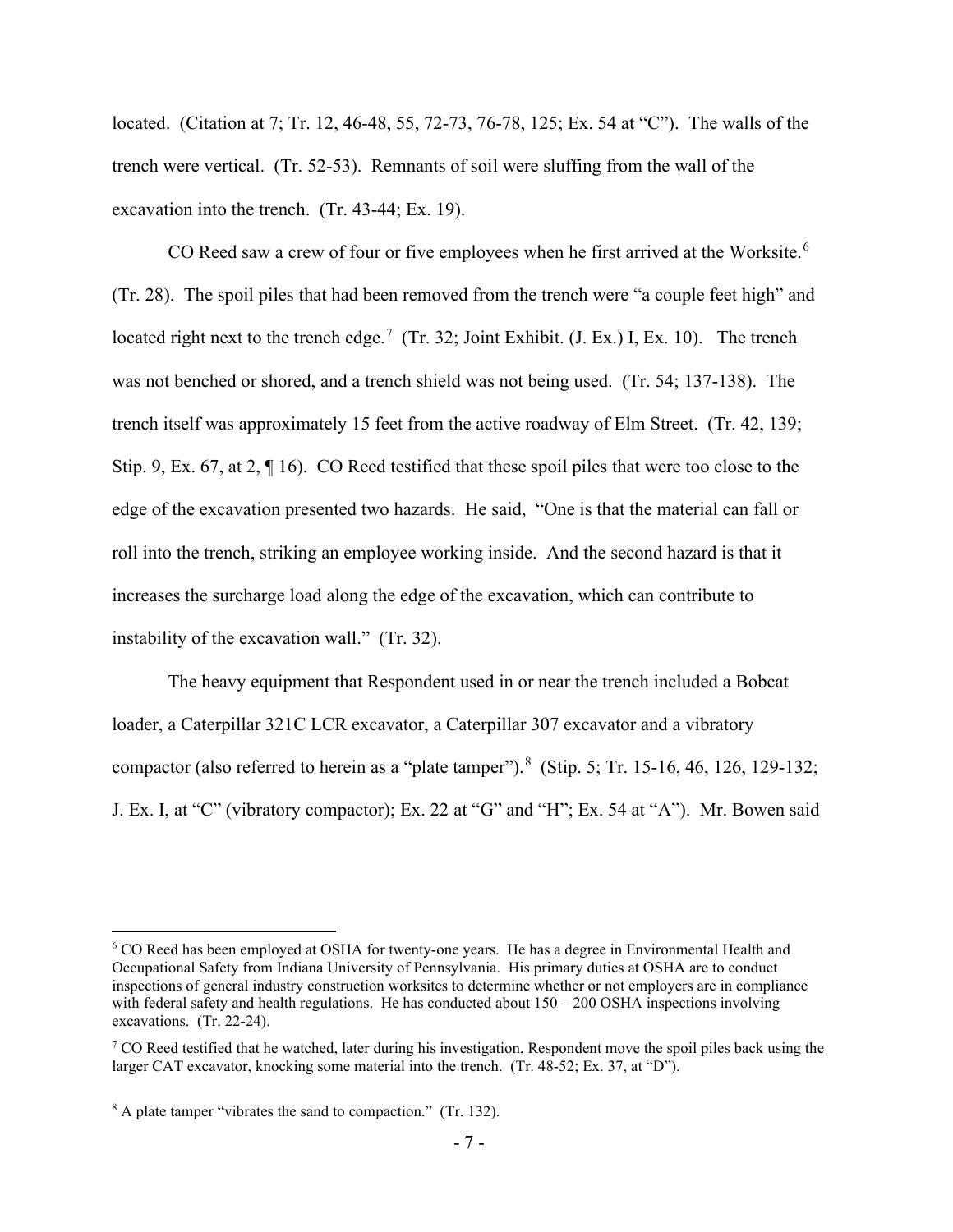located. (Citation at 7; Tr. 12, 46-48, 55, 72-73, 76-78, 125; Ex. 54 at "C"). The walls of the trench were vertical. (Tr. 52-53). Remnants of soil were sluffing from the wall of the excavation into the trench. (Tr. 43-44; Ex. 19).

CO Reed saw a crew of four or five employees when he first arrived at the Worksite.<sup>[6](#page-6-0)</sup> (Tr. 28). The spoil piles that had been removed from the trench were "a couple feet high" and located right next to the trench edge.<sup>[7](#page-6-1)</sup> (Tr. 32; Joint Exhibit. (J. Ex.) I, Ex. 10). The trench was not benched or shored, and a trench shield was not being used. (Tr. 54; 137-138). The trench itself was approximately 15 feet from the active roadway of Elm Street. (Tr. 42, 139; Stip. 9, Ex. 67, at 2, ¶ 16). CO Reed testified that these spoil piles that were too close to the edge of the excavation presented two hazards. He said, "One is that the material can fall or roll into the trench, striking an employee working inside. And the second hazard is that it increases the surcharge load along the edge of the excavation, which can contribute to instability of the excavation wall." (Tr. 32).

The heavy equipment that Respondent used in or near the trench included a Bobcat loader, a Caterpillar 321C LCR excavator, a Caterpillar 307 excavator and a vibratory compactor (also referred to herein as a "plate tamper").<sup>[8](#page-6-2)</sup> (Stip. 5; Tr. 15-16, 46, 126, 129-132; J. Ex. I, at "C" (vibratory compactor); Ex. 22 at "G" and "H"; Ex. 54 at "A"). Mr. Bowen said

<span id="page-6-0"></span><sup>6</sup> CO Reed has been employed at OSHA for twenty-one years. He has a degree in Environmental Health and Occupational Safety from Indiana University of Pennsylvania. His primary duties at OSHA are to conduct inspections of general industry construction worksites to determine whether or not employers are in compliance with federal safety and health regulations. He has conducted about  $150 - 200$  OSHA inspections involving excavations. (Tr. 22-24).

<span id="page-6-1"></span> $7 \text{ CO}$  Reed testified that he watched, later during his investigation, Respondent move the spoil piles back using the larger CAT excavator, knocking some material into the trench. (Tr. 48-52; Ex. 37, at "D").

<span id="page-6-2"></span><sup>&</sup>lt;sup>8</sup> A plate tamper "vibrates the sand to compaction." (Tr. 132).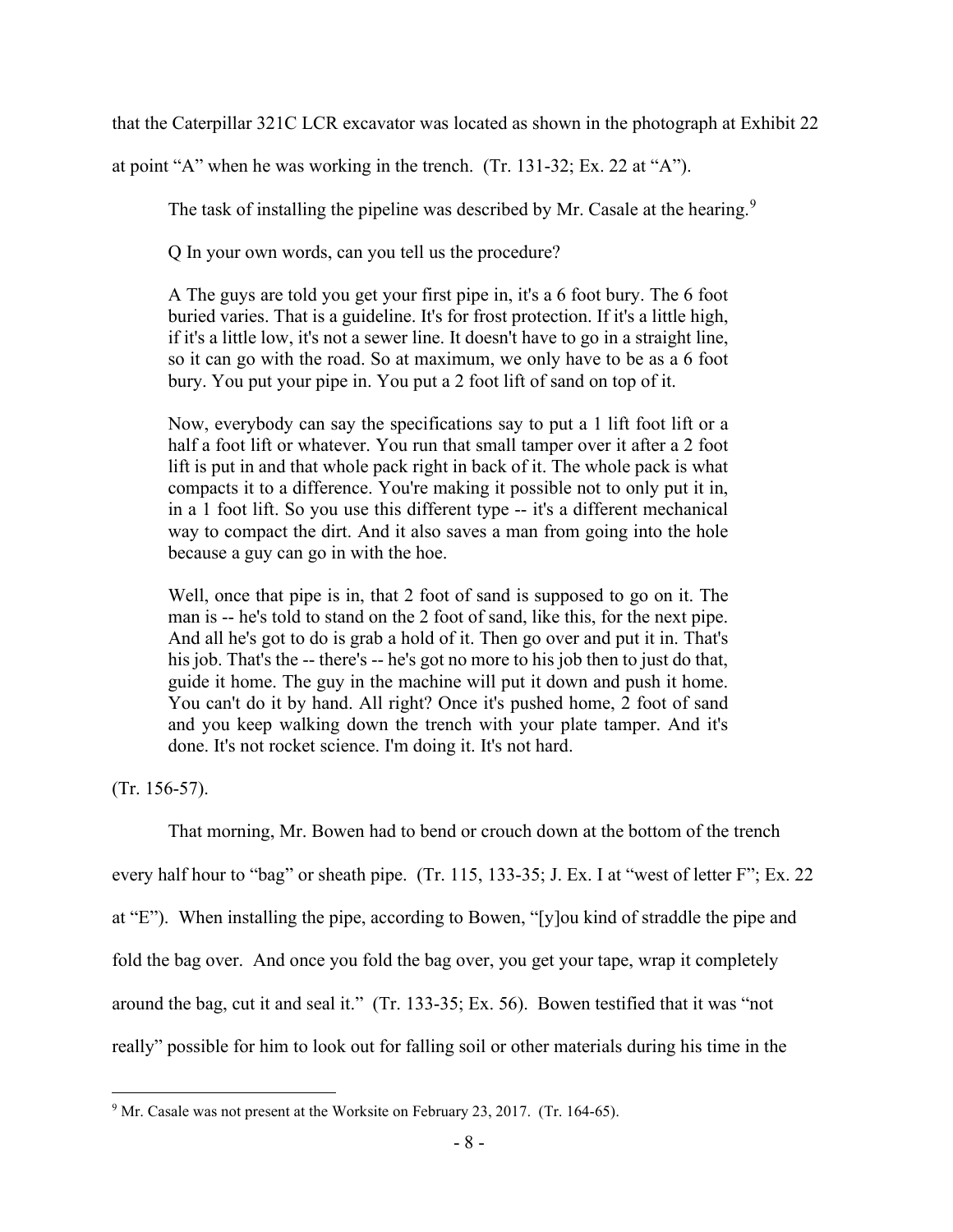that the Caterpillar 321C LCR excavator was located as shown in the photograph at Exhibit 22

at point "A" when he was working in the trench. (Tr. 131-32; Ex. 22 at "A").

The task of installing the pipeline was described by Mr. Casale at the hearing.<sup>[9](#page-7-0)</sup>

Q In your own words, can you tell us the procedure?

A The guys are told you get your first pipe in, it's a 6 foot bury. The 6 foot buried varies. That is a guideline. It's for frost protection. If it's a little high, if it's a little low, it's not a sewer line. It doesn't have to go in a straight line, so it can go with the road. So at maximum, we only have to be as a 6 foot bury. You put your pipe in. You put a 2 foot lift of sand on top of it.

Now, everybody can say the specifications say to put a 1 lift foot lift or a half a foot lift or whatever. You run that small tamper over it after a 2 foot lift is put in and that whole pack right in back of it. The whole pack is what compacts it to a difference. You're making it possible not to only put it in, in a 1 foot lift. So you use this different type -- it's a different mechanical way to compact the dirt. And it also saves a man from going into the hole because a guy can go in with the hoe.

Well, once that pipe is in, that 2 foot of sand is supposed to go on it. The man is -- he's told to stand on the 2 foot of sand, like this, for the next pipe. And all he's got to do is grab a hold of it. Then go over and put it in. That's his job. That's the -- there's -- he's got no more to his job then to just do that, guide it home. The guy in the machine will put it down and push it home. You can't do it by hand. All right? Once it's pushed home, 2 foot of sand and you keep walking down the trench with your plate tamper. And it's done. It's not rocket science. I'm doing it. It's not hard.

(Tr. 156-57).

That morning, Mr. Bowen had to bend or crouch down at the bottom of the trench every half hour to "bag" or sheath pipe. (Tr. 115, 133-35; J. Ex. I at "west of letter F"; Ex. 22 at "E"). When installing the pipe, according to Bowen, "[y]ou kind of straddle the pipe and fold the bag over. And once you fold the bag over, you get your tape, wrap it completely around the bag, cut it and seal it." (Tr. 133-35; Ex. 56). Bowen testified that it was "not really" possible for him to look out for falling soil or other materials during his time in the

<span id="page-7-0"></span><sup>&</sup>lt;sup>9</sup> Mr. Casale was not present at the Worksite on February 23, 2017. (Tr. 164-65).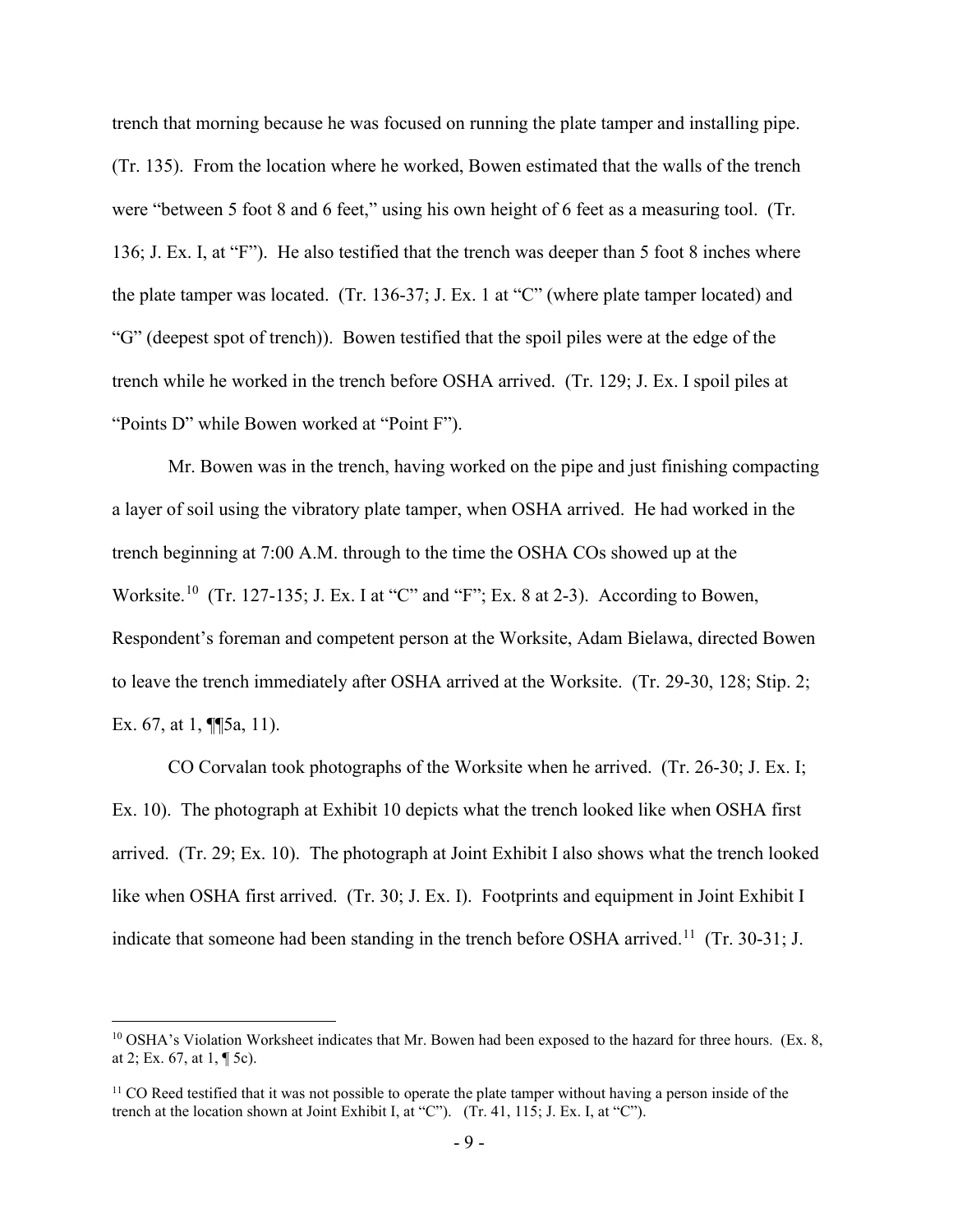trench that morning because he was focused on running the plate tamper and installing pipe. (Tr. 135). From the location where he worked, Bowen estimated that the walls of the trench were "between 5 foot 8 and 6 feet," using his own height of 6 feet as a measuring tool. (Tr. 136; J. Ex. I, at "F"). He also testified that the trench was deeper than 5 foot 8 inches where the plate tamper was located. (Tr. 136-37; J. Ex. 1 at "C" (where plate tamper located) and "G" (deepest spot of trench)). Bowen testified that the spoil piles were at the edge of the trench while he worked in the trench before OSHA arrived. (Tr. 129; J. Ex. I spoil piles at "Points D" while Bowen worked at "Point F").

Mr. Bowen was in the trench, having worked on the pipe and just finishing compacting a layer of soil using the vibratory plate tamper, when OSHA arrived. He had worked in the trench beginning at 7:00 A.M. through to the time the OSHA COs showed up at the Worksite.<sup>10</sup> (Tr. 127-135; J. Ex. I at "C" and "F"; Ex. 8 at 2-3). According to Bowen, Respondent's foreman and competent person at the Worksite, Adam Bielawa, directed Bowen to leave the trench immediately after OSHA arrived at the Worksite. (Tr. 29-30, 128; Stip. 2; Ex. 67, at 1, **[**[5a, 11).

CO Corvalan took photographs of the Worksite when he arrived. (Tr. 26-30; J. Ex. I; Ex. 10). The photograph at Exhibit 10 depicts what the trench looked like when OSHA first arrived. (Tr. 29; Ex. 10). The photograph at Joint Exhibit I also shows what the trench looked like when OSHA first arrived. (Tr. 30; J. Ex. I). Footprints and equipment in Joint Exhibit I indicate that someone had been standing in the trench before OSHA arrived.<sup>[11](#page-8-1)</sup> (Tr. 30-31; J.

<span id="page-8-0"></span> $10$  OSHA's Violation Worksheet indicates that Mr. Bowen had been exposed to the hazard for three hours. (Ex. 8, at 2; Ex. 67, at 1, ¶ 5c).

<span id="page-8-1"></span> $11$  CO Reed testified that it was not possible to operate the plate tamper without having a person inside of the trench at the location shown at Joint Exhibit I, at "C"). (Tr. 41, 115; J. Ex. I, at "C").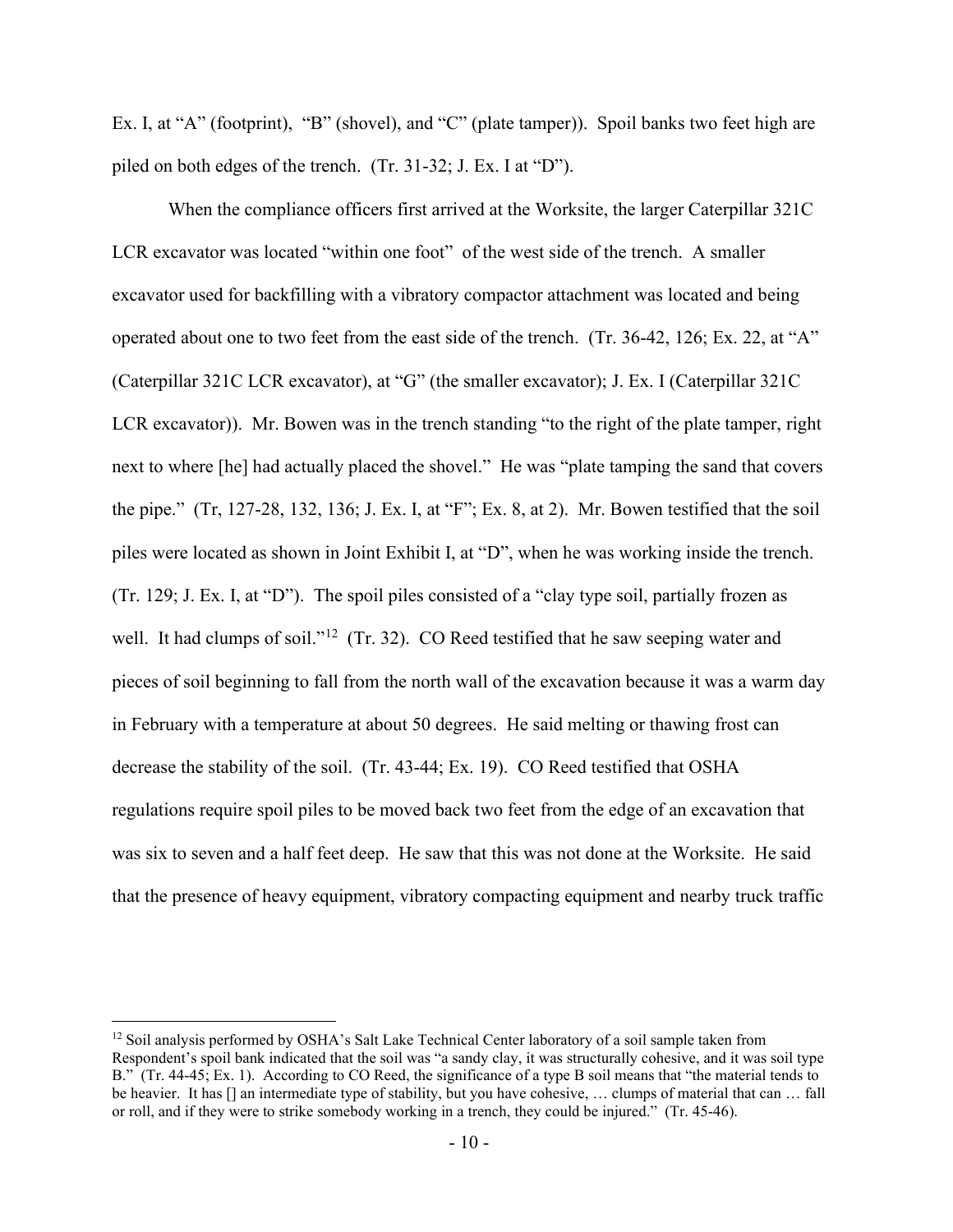Ex. I, at "A" (footprint), "B" (shovel), and "C" (plate tamper)). Spoil banks two feet high are piled on both edges of the trench. (Tr. 31-32; J. Ex. I at "D").

When the compliance officers first arrived at the Worksite, the larger Caterpillar 321C LCR excavator was located "within one foot" of the west side of the trench. A smaller excavator used for backfilling with a vibratory compactor attachment was located and being operated about one to two feet from the east side of the trench. (Tr. 36-42, 126; Ex. 22, at "A" (Caterpillar 321C LCR excavator), at "G" (the smaller excavator); J. Ex. I (Caterpillar 321C LCR excavator)). Mr. Bowen was in the trench standing "to the right of the plate tamper, right next to where [he] had actually placed the shovel." He was "plate tamping the sand that covers the pipe." (Tr, 127-28, 132, 136; J. Ex. I, at "F"; Ex. 8, at 2). Mr. Bowen testified that the soil piles were located as shown in Joint Exhibit I, at "D", when he was working inside the trench. (Tr. 129; J. Ex. I, at "D"). The spoil piles consisted of a "clay type soil, partially frozen as well. It had clumps of soil."<sup>[12](#page-9-0)</sup> (Tr. 32). CO Reed testified that he saw seeping water and pieces of soil beginning to fall from the north wall of the excavation because it was a warm day in February with a temperature at about 50 degrees. He said melting or thawing frost can decrease the stability of the soil. (Tr. 43-44; Ex. 19). CO Reed testified that OSHA regulations require spoil piles to be moved back two feet from the edge of an excavation that was six to seven and a half feet deep. He saw that this was not done at the Worksite. He said that the presence of heavy equipment, vibratory compacting equipment and nearby truck traffic

<span id="page-9-0"></span> $12$  Soil analysis performed by OSHA's Salt Lake Technical Center laboratory of a soil sample taken from Respondent's spoil bank indicated that the soil was "a sandy clay, it was structurally cohesive, and it was soil type B." (Tr. 44-45; Ex. 1). According to CO Reed, the significance of a type B soil means that "the material tends to be heavier. It has [] an intermediate type of stability, but you have cohesive, … clumps of material that can … fall or roll, and if they were to strike somebody working in a trench, they could be injured." (Tr. 45-46).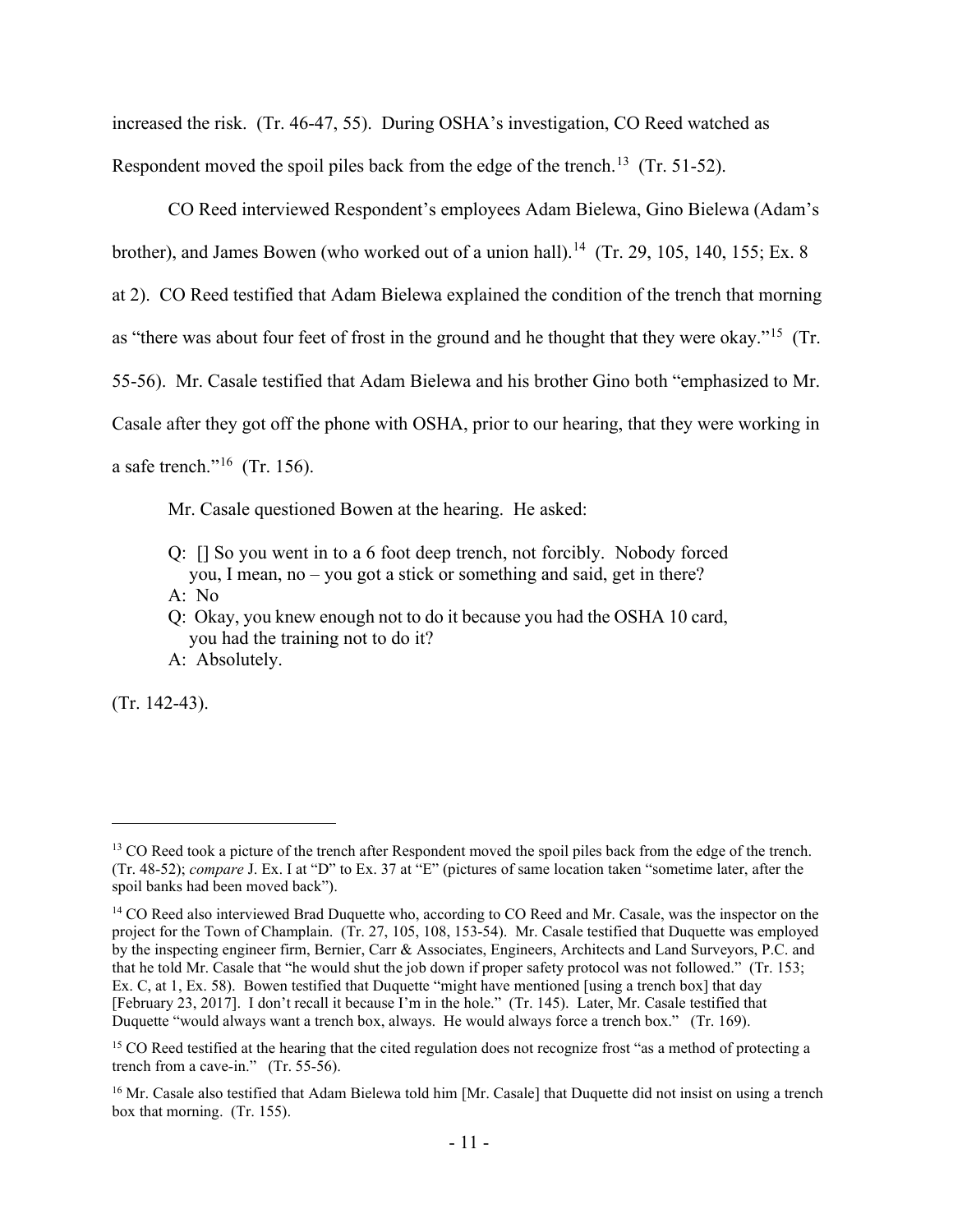increased the risk. (Tr. 46-47, 55). During OSHA's investigation, CO Reed watched as Respondent moved the spoil piles back from the edge of the trench.<sup>13</sup> (Tr. 51-52).

CO Reed interviewed Respondent's employees Adam Bielewa, Gino Bielewa (Adam's brother), and James Bowen (who worked out of a union hall).<sup>14</sup> (Tr. 29, 105, 140, 155; Ex. 8) at 2). CO Reed testified that Adam Bielewa explained the condition of the trench that morning as "there was about four feet of frost in the ground and he thought that they were okay."[15](#page-10-2) (Tr. 55-56). Mr. Casale testified that Adam Bielewa and his brother Gino both "emphasized to Mr. Casale after they got off the phone with OSHA, prior to our hearing, that they were working in a safe trench."<sup>16</sup> (Tr. 156).

Mr. Casale questioned Bowen at the hearing. He asked:

- Q: [] So you went in to a 6 foot deep trench, not forcibly. Nobody forced you, I mean, no – you got a stick or something and said, get in there? A: No
- Q: Okay, you knew enough not to do it because you had the OSHA 10 card, you had the training not to do it?
- A: Absolutely.

(Tr. 142-43).

<span id="page-10-0"></span><sup>&</sup>lt;sup>13</sup> CO Reed took a picture of the trench after Respondent moved the spoil piles back from the edge of the trench. (Tr. 48-52); *compare* J. Ex. I at "D" to Ex. 37 at "E" (pictures of same location taken "sometime later, after the spoil banks had been moved back").

<span id="page-10-1"></span><sup>&</sup>lt;sup>14</sup> CO Reed also interviewed Brad Duquette who, according to CO Reed and Mr. Casale, was the inspector on the project for the Town of Champlain. (Tr. 27, 105, 108, 153-54). Mr. Casale testified that Duquette was employed by the inspecting engineer firm, Bernier, Carr & Associates, Engineers, Architects and Land Surveyors, P.C. and that he told Mr. Casale that "he would shut the job down if proper safety protocol was not followed." (Tr. 153; Ex. C, at 1, Ex. 58). Bowen testified that Duquette "might have mentioned [using a trench box] that day [February 23, 2017]. I don't recall it because I'm in the hole." (Tr. 145). Later, Mr. Casale testified that Duquette "would always want a trench box, always. He would always force a trench box." (Tr. 169).

<span id="page-10-2"></span><sup>&</sup>lt;sup>15</sup> CO Reed testified at the hearing that the cited regulation does not recognize frost "as a method of protecting a trench from a cave-in." (Tr. 55-56).

<span id="page-10-3"></span><sup>&</sup>lt;sup>16</sup> Mr. Casale also testified that Adam Bielewa told him [Mr. Casale] that Duquette did not insist on using a trench box that morning. (Tr. 155).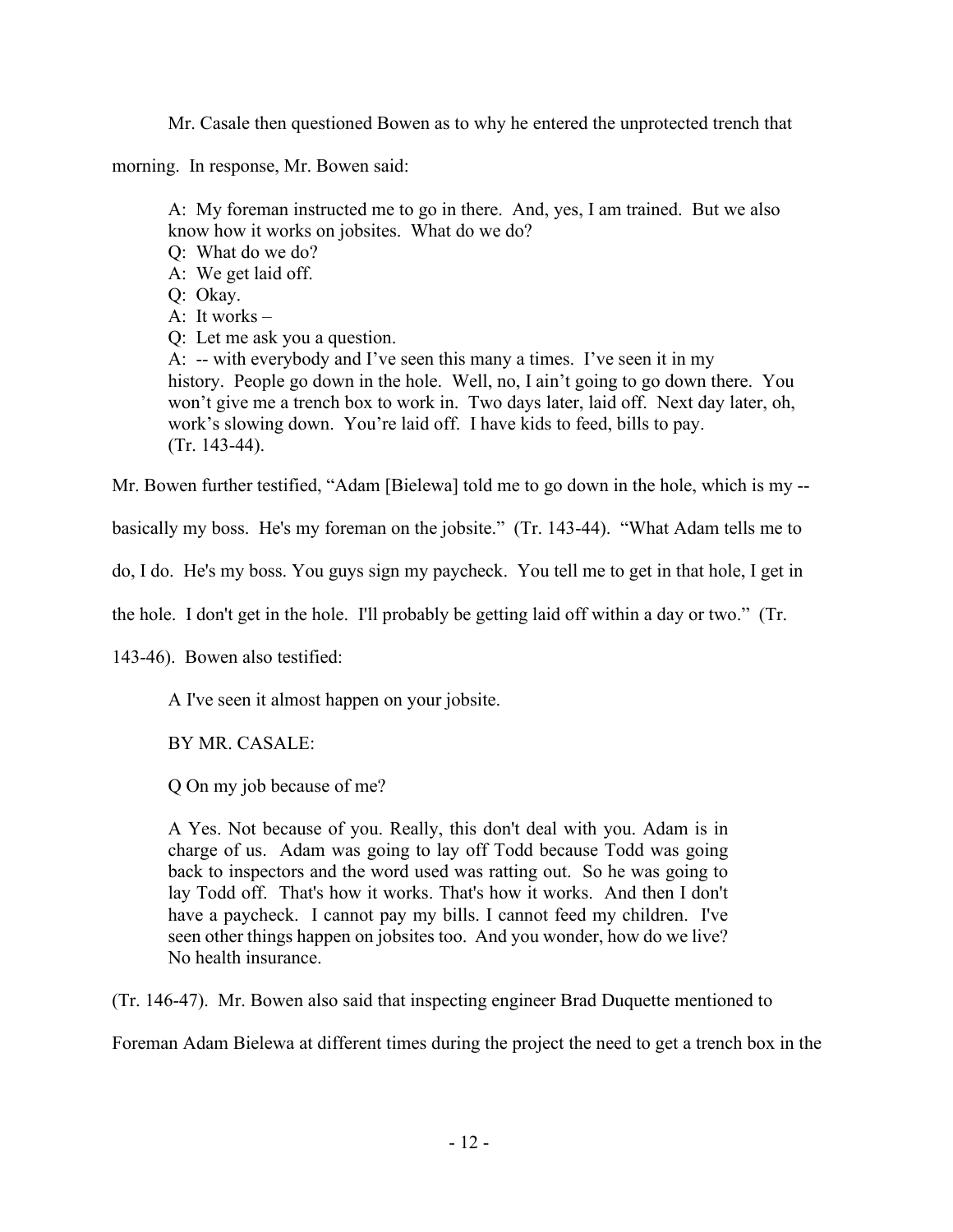Mr. Casale then questioned Bowen as to why he entered the unprotected trench that

morning. In response, Mr. Bowen said:

A: My foreman instructed me to go in there. And, yes, I am trained. But we also know how it works on jobsites. What do we do?

Q: What do we do?

A: We get laid off.

Q: Okay.

A: It works –

Q: Let me ask you a question.

A: -- with everybody and I've seen this many a times. I've seen it in my history. People go down in the hole. Well, no, I ain't going to go down there. You won't give me a trench box to work in. Two days later, laid off. Next day later, oh, work's slowing down. You're laid off. I have kids to feed, bills to pay. (Tr. 143-44).

Mr. Bowen further testified, "Adam [Bielewa] told me to go down in the hole, which is my --

basically my boss. He's my foreman on the jobsite." (Tr. 143-44). "What Adam tells me to

do, I do. He's my boss. You guys sign my paycheck. You tell me to get in that hole, I get in

the hole. I don't get in the hole. I'll probably be getting laid off within a day or two." (Tr.

143-46). Bowen also testified:

A I've seen it almost happen on your jobsite.

BY MR. CASALE:

Q On my job because of me?

A Yes. Not because of you. Really, this don't deal with you. Adam is in charge of us. Adam was going to lay off Todd because Todd was going back to inspectors and the word used was ratting out. So he was going to lay Todd off. That's how it works. That's how it works. And then I don't have a paycheck. I cannot pay my bills. I cannot feed my children. I've seen other things happen on jobsites too. And you wonder, how do we live? No health insurance.

(Tr. 146-47). Mr. Bowen also said that inspecting engineer Brad Duquette mentioned to

Foreman Adam Bielewa at different times during the project the need to get a trench box in the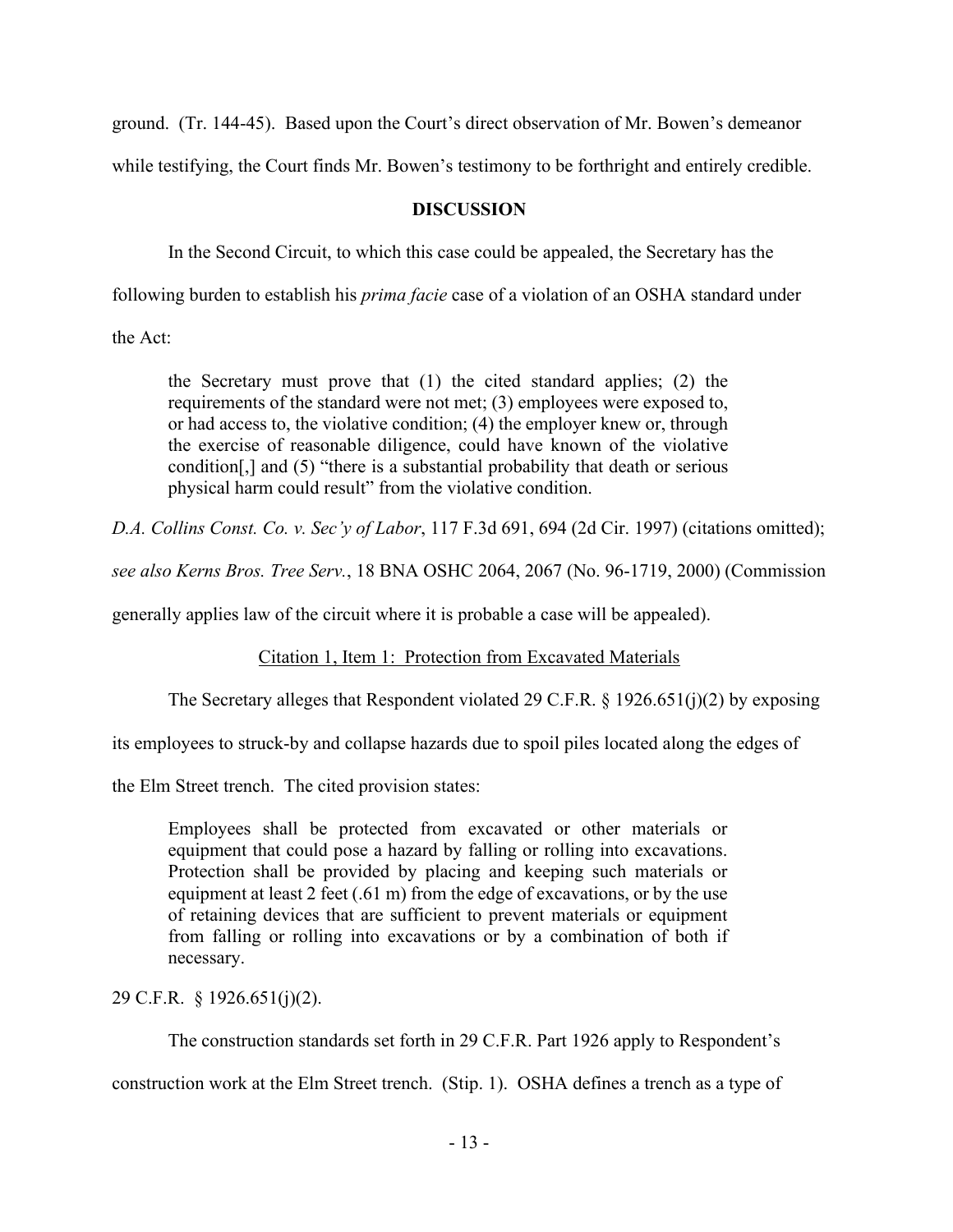ground. (Tr. 144-45). Based upon the Court's direct observation of Mr. Bowen's demeanor

while testifying, the Court finds Mr. Bowen's testimony to be forthright and entirely credible.

# **DISCUSSION**

In the Second Circuit, to which this case could be appealed, the Secretary has the

following burden to establish his *prima facie* case of a violation of an OSHA standard under

the Act:

the Secretary must prove that (1) the cited standard applies; (2) the requirements of the standard were not met; (3) employees were exposed to, or had access to, the violative condition; (4) the employer knew or, through the exercise of reasonable diligence, could have known of the violative condition[,] and (5) "there is a substantial probability that death or serious physical harm could result" from the violative condition.

*D.A. Collins Const. Co. v. Sec'y of Labor*, 117 F.3d 691, 694 (2d Cir. 1997) (citations omitted);

*see also Kerns Bros. Tree Serv.*, 18 BNA OSHC 2064, 2067 (No. 96-1719, 2000) (Commission

generally applies law of the circuit where it is probable a case will be appealed).

Citation 1, Item 1: Protection from Excavated Materials

The Secretary alleges that Respondent violated 29 C.F.R. § 1926.651(j)(2) by exposing

its employees to struck-by and collapse hazards due to spoil piles located along the edges of

the Elm Street trench. The cited provision states:

Employees shall be protected from excavated or other materials or equipment that could pose a hazard by falling or rolling into excavations. Protection shall be provided by placing and keeping such materials or equipment at least 2 feet (.61 m) from the edge of excavations, or by the use of retaining devices that are sufficient to prevent materials or equipment from falling or rolling into excavations or by a combination of both if necessary.

29 C.F.R. § 1926.651(j)(2).

The construction standards set forth in 29 C.F.R. Part 1926 apply to Respondent's

construction work at the Elm Street trench. (Stip. 1). OSHA defines a trench as a type of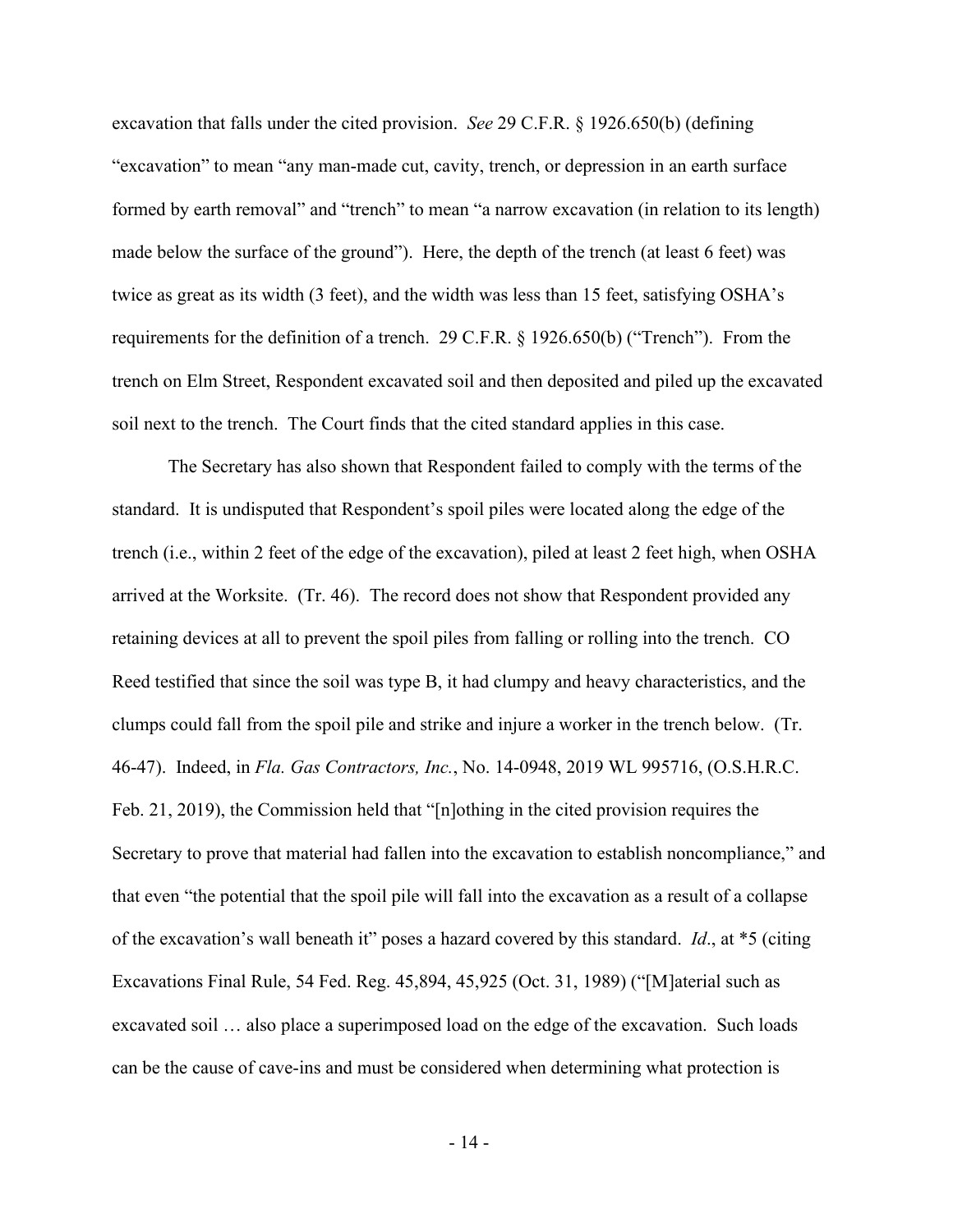excavation that falls under the cited provision. *See* 29 C.F.R. § 1926.650(b) (defining "excavation" to mean "any man-made cut, cavity, trench, or depression in an earth surface formed by earth removal" and "trench" to mean "a narrow excavation (in relation to its length) made below the surface of the ground"). Here, the depth of the trench (at least 6 feet) was twice as great as its width (3 feet), and the width was less than 15 feet, satisfying OSHA's requirements for the definition of a trench. 29 C.F.R. § 1926.650(b) ("Trench"). From the trench on Elm Street, Respondent excavated soil and then deposited and piled up the excavated soil next to the trench. The Court finds that the cited standard applies in this case.

The Secretary has also shown that Respondent failed to comply with the terms of the standard. It is undisputed that Respondent's spoil piles were located along the edge of the trench (i.e., within 2 feet of the edge of the excavation), piled at least 2 feet high, when OSHA arrived at the Worksite. (Tr. 46). The record does not show that Respondent provided any retaining devices at all to prevent the spoil piles from falling or rolling into the trench. CO Reed testified that since the soil was type B, it had clumpy and heavy characteristics, and the clumps could fall from the spoil pile and strike and injure a worker in the trench below. (Tr. 46-47). Indeed, in *Fla. Gas Contractors, Inc.*, No. 14-0948, 2019 WL 995716, (O.S.H.R.C. Feb. 21, 2019), the Commission held that "[n]othing in the cited provision requires the Secretary to prove that material had fallen into the excavation to establish noncompliance," and that even "the potential that the spoil pile will fall into the excavation as a result of a collapse of the excavation's wall beneath it" poses a hazard covered by this standard. *Id*., at \*5 (citing Excavations Final Rule, 54 Fed. Reg. 45,894, 45,925 (Oct. 31, 1989) ("[M]aterial such as excavated soil … also place a superimposed load on the edge of the excavation. Such loads can be the cause of cave-ins and must be considered when determining what protection is

- 14 -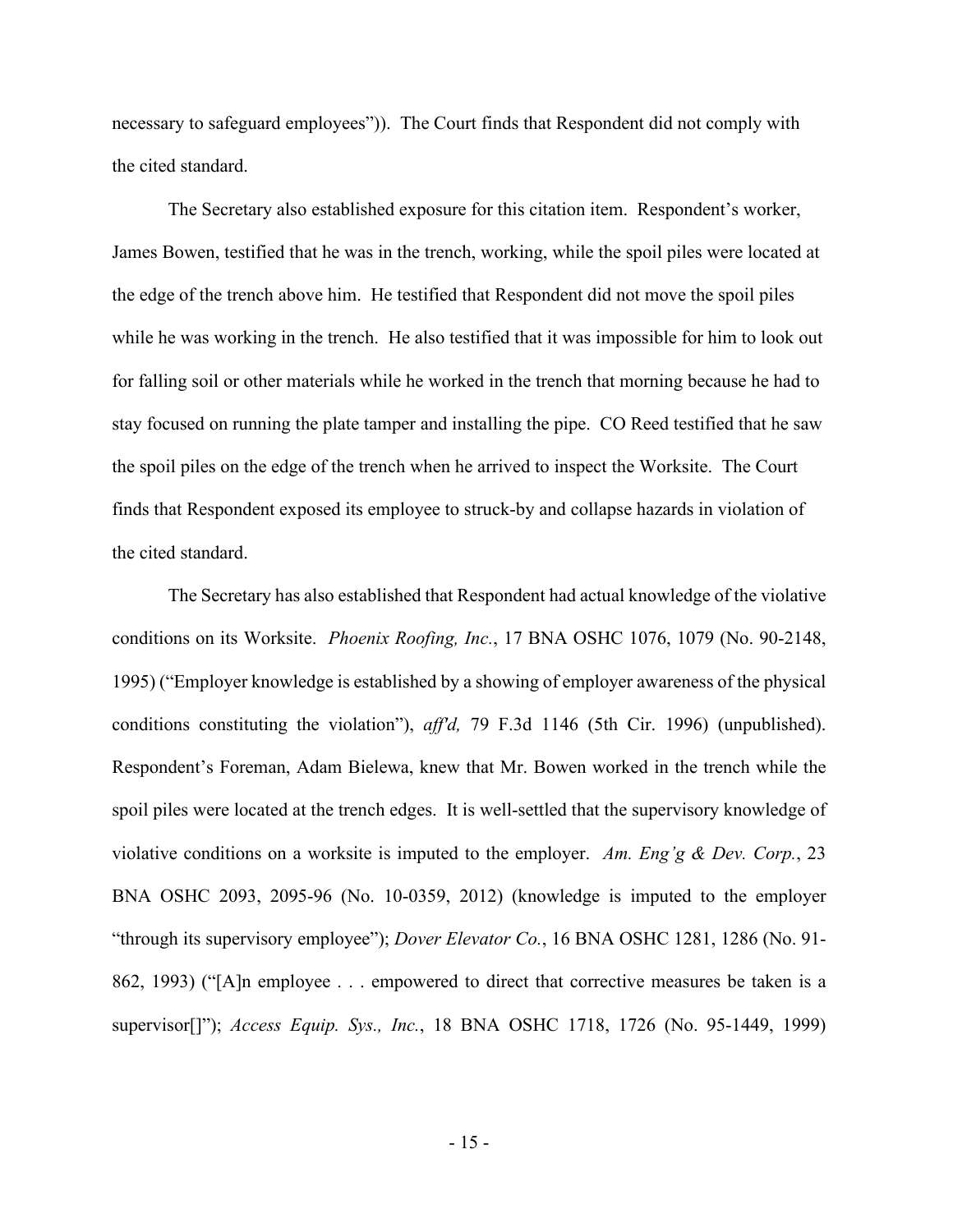necessary to safeguard employees")). The Court finds that Respondent did not comply with the cited standard.

The Secretary also established exposure for this citation item. Respondent's worker, James Bowen, testified that he was in the trench, working, while the spoil piles were located at the edge of the trench above him. He testified that Respondent did not move the spoil piles while he was working in the trench. He also testified that it was impossible for him to look out for falling soil or other materials while he worked in the trench that morning because he had to stay focused on running the plate tamper and installing the pipe. CO Reed testified that he saw the spoil piles on the edge of the trench when he arrived to inspect the Worksite. The Court finds that Respondent exposed its employee to struck-by and collapse hazards in violation of the cited standard.

The Secretary has also established that Respondent had actual knowledge of the violative conditions on its Worksite. *Phoenix Roofing, Inc.*, 17 BNA OSHC 1076, 1079 (No. 90-2148, 1995) ("Employer knowledge is established by a showing of employer awareness of the physical conditions constituting the violation"), *aff'd,* 79 F.3d 1146 (5th Cir. 1996) (unpublished). Respondent's Foreman, Adam Bielewa, knew that Mr. Bowen worked in the trench while the spoil piles were located at the trench edges. It is well-settled that the supervisory knowledge of violative conditions on a worksite is imputed to the employer. *Am. Eng'g & Dev. Corp.*, 23 BNA OSHC 2093, 2095-96 (No. 10-0359, 2012) (knowledge is imputed to the employer "through its supervisory employee"); *Dover Elevator Co.*, 16 BNA OSHC 1281, 1286 (No. 91- 862, 1993) ("[A]n employee . . . empowered to direct that corrective measures be taken is a supervisor[]"); *Access Equip. Sys., Inc.*, 18 BNA OSHC 1718, 1726 (No. 95-1449, 1999)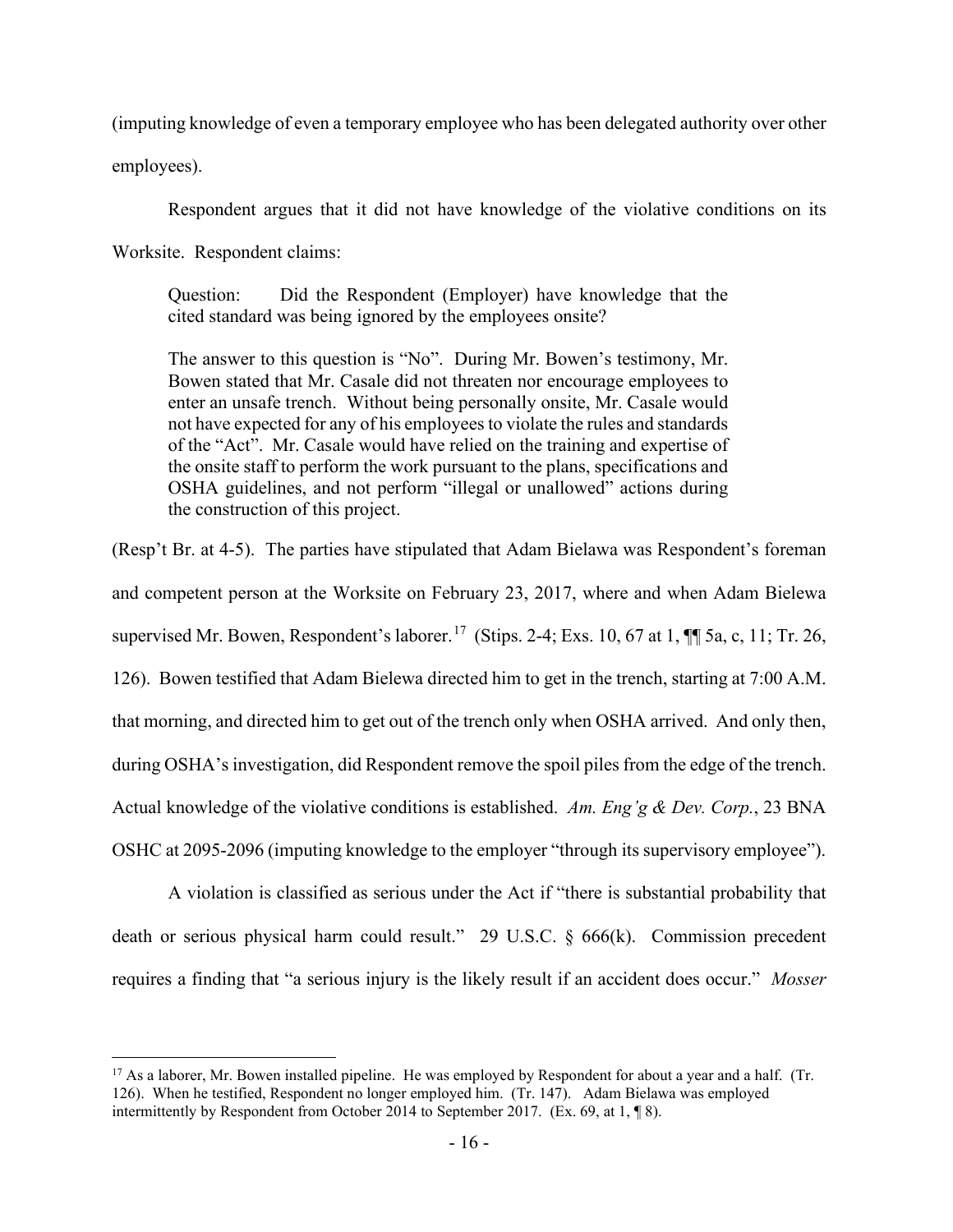(imputing knowledge of even a temporary employee who has been delegated authority over other

employees).

Respondent argues that it did not have knowledge of the violative conditions on its

Worksite. Respondent claims:

Question: Did the Respondent (Employer) have knowledge that the cited standard was being ignored by the employees onsite?

The answer to this question is "No". During Mr. Bowen's testimony, Mr. Bowen stated that Mr. Casale did not threaten nor encourage employees to enter an unsafe trench. Without being personally onsite, Mr. Casale would not have expected for any of his employees to violate the rules and standards of the "Act". Mr. Casale would have relied on the training and expertise of the onsite staff to perform the work pursuant to the plans, specifications and OSHA guidelines, and not perform "illegal or unallowed" actions during the construction of this project.

(Resp't Br. at 4-5). The parties have stipulated that Adam Bielawa was Respondent's foreman and competent person at the Worksite on February 23, 2017, where and when Adam Bielewa supervised Mr. Bowen, Respondent's laborer.<sup>17</sup> (Stips. 2-4; Exs. 10, 67 at 1,  $\P$  5a, c, 11; Tr. 26, 126). Bowen testified that Adam Bielewa directed him to get in the trench, starting at 7:00 A.M. that morning, and directed him to get out of the trench only when OSHA arrived. And only then, during OSHA's investigation, did Respondent remove the spoil piles from the edge of the trench. Actual knowledge of the violative conditions is established. *Am. Eng'g & Dev. Corp.*, 23 BNA OSHC at 2095-2096 (imputing knowledge to the employer "through its supervisory employee").

A violation is classified as serious under the Act if "there is substantial probability that death or serious physical harm could result." 29 U.S.C. § 666(k). Commission precedent requires a finding that "a serious injury is the likely result if an accident does occur." *Mosser* 

<span id="page-15-0"></span> $17$  As a laborer, Mr. Bowen installed pipeline. He was employed by Respondent for about a year and a half. (Tr. 126). When he testified, Respondent no longer employed him. (Tr. 147). Adam Bielawa was employed intermittently by Respondent from October 2014 to September 2017. (Ex. 69, at 1, ¶ 8).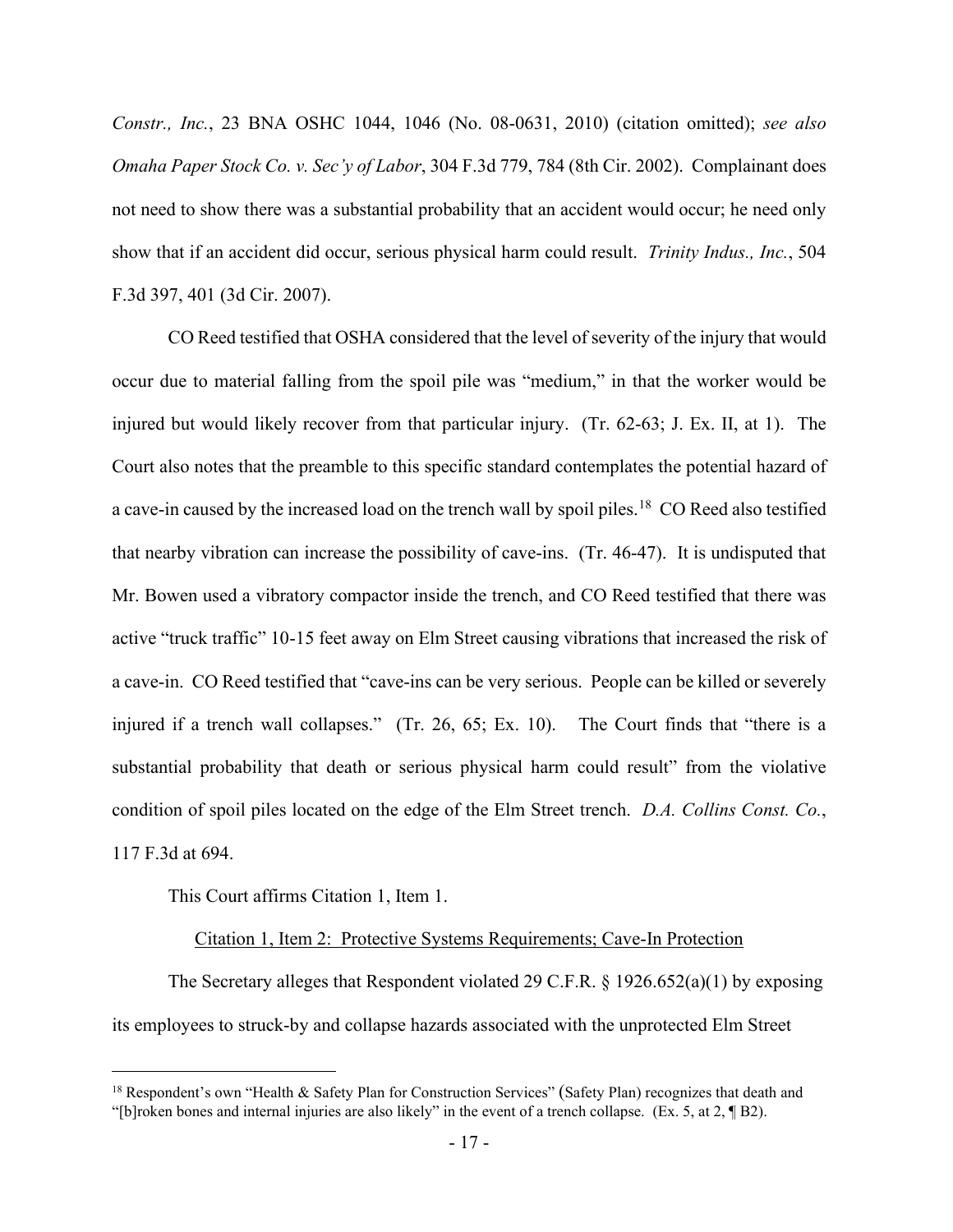*Constr., Inc.*, 23 BNA OSHC 1044, 1046 (No. 08-0631, 2010) (citation omitted); *see also Omaha Paper Stock Co. v. Sec'y of Labor*, 304 F.3d 779, 784 (8th Cir. 2002). Complainant does not need to show there was a substantial probability that an accident would occur; he need only show that if an accident did occur, serious physical harm could result. *Trinity Indus., Inc.*, 504 F.3d 397, 401 (3d Cir. 2007).

CO Reed testified that OSHA considered that the level of severity of the injury that would occur due to material falling from the spoil pile was "medium," in that the worker would be injured but would likely recover from that particular injury. (Tr. 62-63; J. Ex. II, at 1). The Court also notes that the preamble to this specific standard contemplates the potential hazard of a cave-in caused by the increased load on the trench wall by spoil piles.<sup>18</sup> CO Reed also testified that nearby vibration can increase the possibility of cave-ins. (Tr. 46-47). It is undisputed that Mr. Bowen used a vibratory compactor inside the trench, and CO Reed testified that there was active "truck traffic" 10-15 feet away on Elm Street causing vibrations that increased the risk of a cave-in. CO Reed testified that "cave-ins can be very serious. People can be killed or severely injured if a trench wall collapses." (Tr. 26, 65; Ex. 10). The Court finds that "there is a substantial probability that death or serious physical harm could result" from the violative condition of spoil piles located on the edge of the Elm Street trench. *D.A. Collins Const. Co.*, 117 F.3d at 694.

This Court affirms Citation 1, Item 1.

### Citation 1, Item 2: Protective Systems Requirements; Cave-In Protection

The Secretary alleges that Respondent violated 29 C.F.R. § 1926.652(a)(1) by exposing its employees to struck-by and collapse hazards associated with the unprotected Elm Street

<span id="page-16-0"></span><sup>&</sup>lt;sup>18</sup> Respondent's own "Health & Safety Plan for Construction Services" (Safety Plan) recognizes that death and "[b]roken bones and internal injuries are also likely" in the event of a trench collapse. (Ex. 5, at 2, ¶ B2).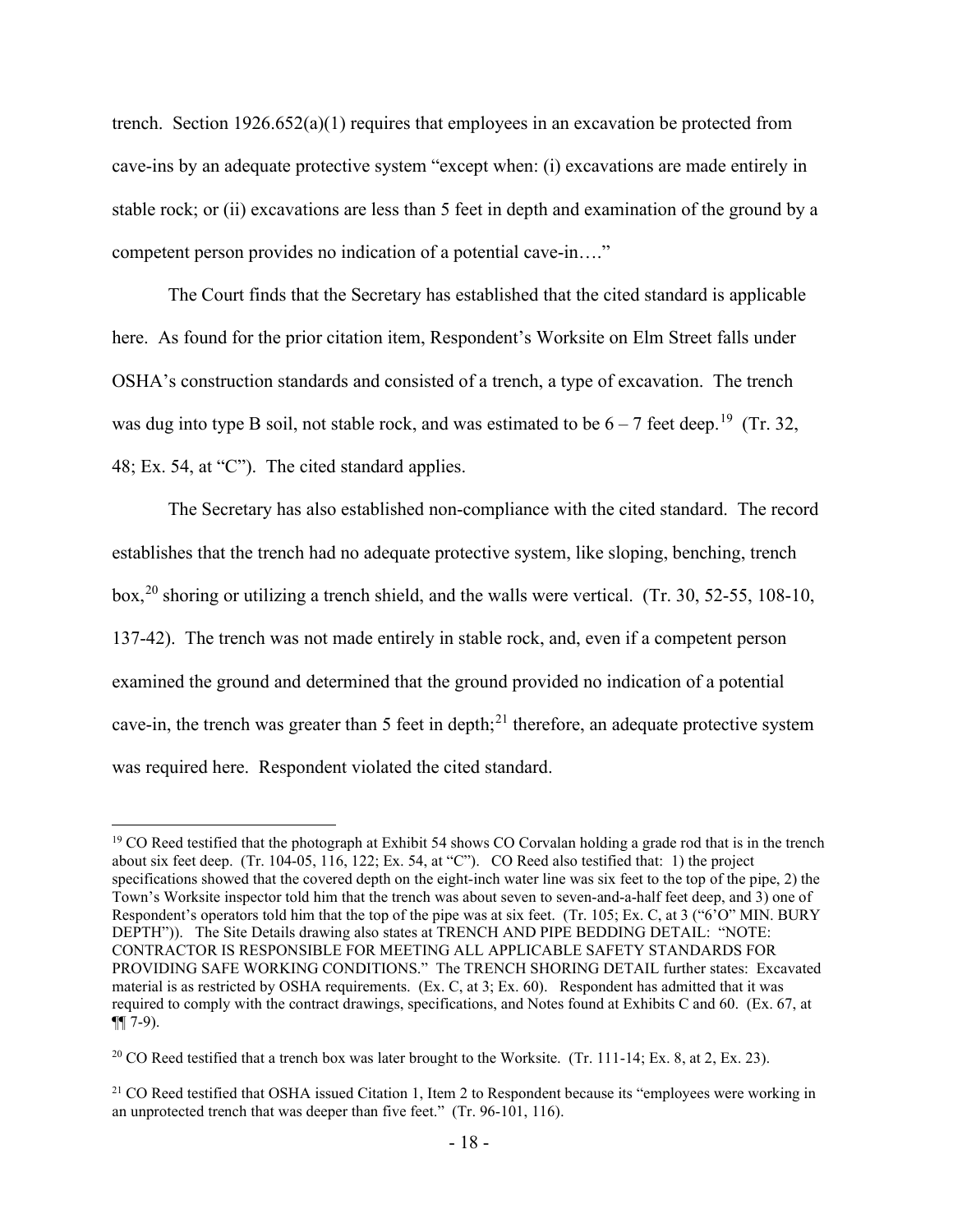trench. Section  $1926.652(a)(1)$  requires that employees in an excavation be protected from cave-ins by an adequate protective system "except when: (i) excavations are made entirely in stable rock; or (ii) excavations are less than 5 feet in depth and examination of the ground by a competent person provides no indication of a potential cave-in…."

The Court finds that the Secretary has established that the cited standard is applicable here. As found for the prior citation item, Respondent's Worksite on Elm Street falls under OSHA's construction standards and consisted of a trench, a type of excavation. The trench was dug into type B soil, not stable rock, and was estimated to be  $6-7$  feet deep.<sup>[19](#page-17-0)</sup> (Tr. 32, 48; Ex. 54, at "C"). The cited standard applies.

The Secretary has also established non-compliance with the cited standard. The record establishes that the trench had no adequate protective system, like sloping, benching, trench box,<sup>20</sup> shoring or utilizing a trench shield, and the walls were vertical. (Tr. 30, 52-55, 108-10, 137-42). The trench was not made entirely in stable rock, and, even if a competent person examined the ground and determined that the ground provided no indication of a potential cave-in, the trench was greater than 5 feet in depth;<sup>[21](#page-17-2)</sup> therefore, an adequate protective system was required here. Respondent violated the cited standard.

<span id="page-17-0"></span><sup>&</sup>lt;sup>19</sup> CO Reed testified that the photograph at Exhibit 54 shows CO Corvalan holding a grade rod that is in the trench about six feet deep. (Tr. 104-05, 116, 122; Ex. 54, at "C"). CO Reed also testified that: 1) the project specifications showed that the covered depth on the eight-inch water line was six feet to the top of the pipe, 2) the Town's Worksite inspector told him that the trench was about seven to seven-and-a-half feet deep, and 3) one of Respondent's operators told him that the top of the pipe was at six feet. (Tr. 105; Ex. C, at 3 ("6'O" MIN. BURY DEPTH")). The Site Details drawing also states at TRENCH AND PIPE BEDDING DETAIL: "NOTE: CONTRACTOR IS RESPONSIBLE FOR MEETING ALL APPLICABLE SAFETY STANDARDS FOR PROVIDING SAFE WORKING CONDITIONS." The TRENCH SHORING DETAIL further states: Excavated material is as restricted by OSHA requirements. (Ex. C, at 3; Ex. 60). Respondent has admitted that it was required to comply with the contract drawings, specifications, and Notes found at Exhibits C and 60. (Ex. 67, at  $\P(7-9)$ .

<span id="page-17-1"></span><sup>&</sup>lt;sup>20</sup> CO Reed testified that a trench box was later brought to the Worksite. (Tr. 111-14; Ex. 8, at 2, Ex. 23).

<span id="page-17-2"></span><sup>&</sup>lt;sup>21</sup> CO Reed testified that OSHA issued Citation 1, Item 2 to Respondent because its "employees were working in an unprotected trench that was deeper than five feet." (Tr. 96-101, 116).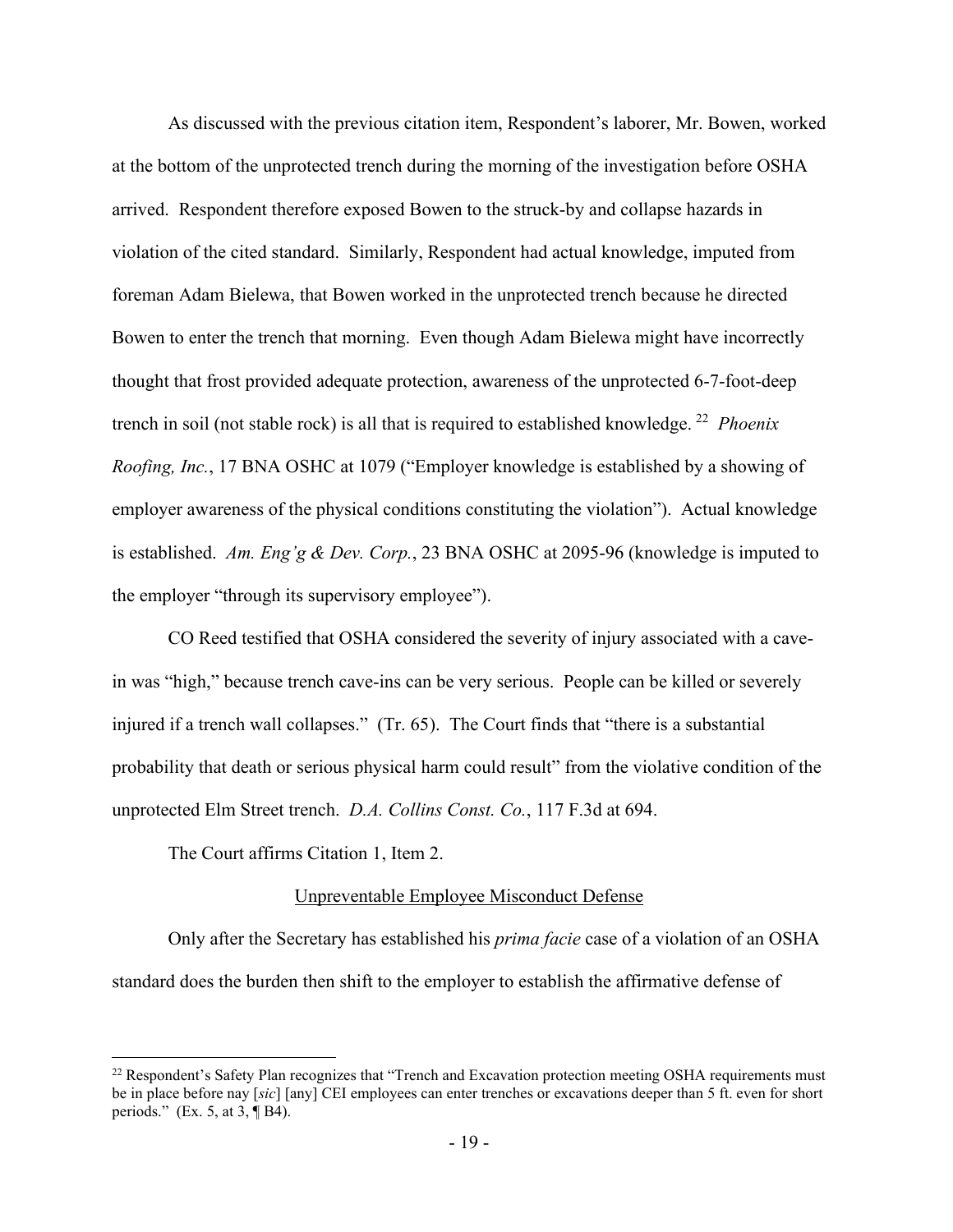As discussed with the previous citation item, Respondent's laborer, Mr. Bowen, worked at the bottom of the unprotected trench during the morning of the investigation before OSHA arrived. Respondent therefore exposed Bowen to the struck-by and collapse hazards in violation of the cited standard. Similarly, Respondent had actual knowledge, imputed from foreman Adam Bielewa, that Bowen worked in the unprotected trench because he directed Bowen to enter the trench that morning. Even though Adam Bielewa might have incorrectly thought that frost provided adequate protection, awareness of the unprotected 6-7-foot-deep trench in soil (not stable rock) is all that is required to established knowledge. [22](#page-18-0) *Phoenix Roofing, Inc.*, 17 BNA OSHC at 1079 ("Employer knowledge is established by a showing of employer awareness of the physical conditions constituting the violation"). Actual knowledge is established. *Am. Eng'g & Dev. Corp.*, 23 BNA OSHC at 2095-96 (knowledge is imputed to the employer "through its supervisory employee").

CO Reed testified that OSHA considered the severity of injury associated with a cavein was "high," because trench cave-ins can be very serious. People can be killed or severely injured if a trench wall collapses." (Tr. 65). The Court finds that "there is a substantial probability that death or serious physical harm could result" from the violative condition of the unprotected Elm Street trench. *D.A. Collins Const. Co.*, 117 F.3d at 694.

The Court affirms Citation 1, Item 2.

### Unpreventable Employee Misconduct Defense

Only after the Secretary has established his *prima facie* case of a violation of an OSHA standard does the burden then shift to the employer to establish the affirmative defense of

<span id="page-18-0"></span><sup>&</sup>lt;sup>22</sup> Respondent's Safety Plan recognizes that "Trench and Excavation protection meeting OSHA requirements must be in place before nay [*sic*] [any] CEI employees can enter trenches or excavations deeper than 5 ft. even for short periods." (Ex. 5, at  $3, \overline{9}$  B4).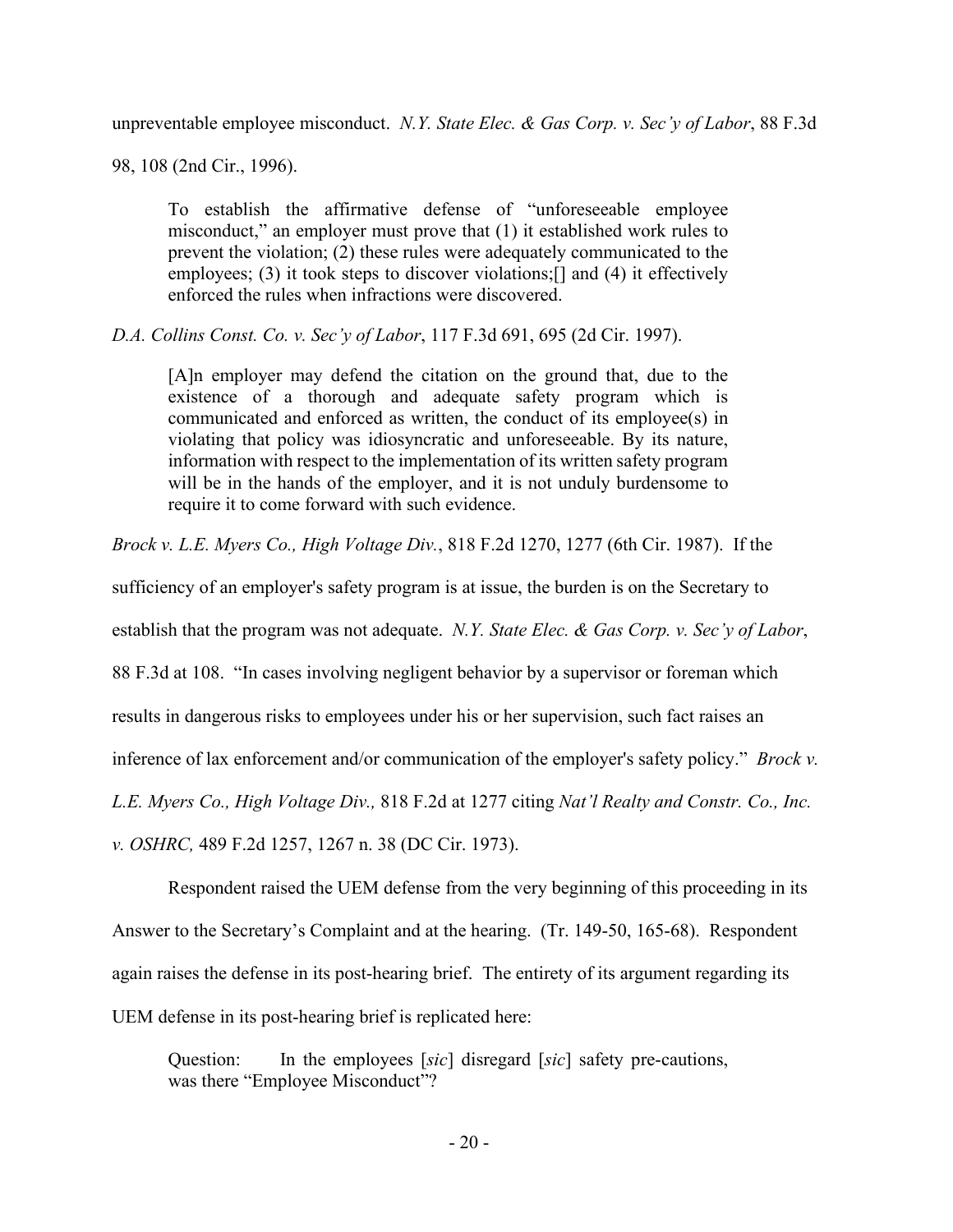unpreventable employee misconduct. *N.Y. State Elec. & Gas Corp. v. Sec'y of Labor*, 88 F.3d

98, 108 (2nd Cir., 1996).

To establish the affirmative defense of "unforeseeable employee misconduct," an employer must prove that (1) it established work rules to prevent the violation; (2) these rules were adequately communicated to the employees; (3) it took steps to discover violations; [] and (4) it effectively enforced the rules when infractions were discovered.

*D.A. Collins Const. Co. v. Sec'y of Labor*, 117 F.3d 691, 695 (2d Cir. 1997).

[A]n employer may defend the citation on the ground that, due to the existence of a thorough and adequate safety program which is communicated and enforced as written, the conduct of its employee(s) in violating that policy was idiosyncratic and unforeseeable. By its nature, information with respect to the implementation of its written safety program will be in the hands of the employer, and it is not unduly burdensome to require it to come forward with such evidence.

*Brock v. L.E. Myers Co., High Voltage Div.*, 818 F.2d 1270, 1277 (6th Cir. 1987). If the

sufficiency of an employer's safety program is at issue, the burden is on the Secretary to

establish that the program was not adequate. *N.Y. State Elec. & Gas Corp. v. Sec'y of Labor*,

88 F.3d at 108. "In cases involving negligent behavior by a supervisor or foreman which

results in dangerous risks to employees under his or her supervision, such fact raises an

inference of lax enforcement and/or communication of the employer's safety policy." *Brock v.* 

*L.E. Myers Co., High Voltage Div.,* 818 F.2d at 1277 citing *Nat'l Realty and Constr. Co., Inc.* 

*v. OSHRC,* 489 F.2d 1257, 1267 n. 38 (DC Cir. 1973).

 Respondent raised the UEM defense from the very beginning of this proceeding in its Answer to the Secretary's Complaint and at the hearing. (Tr. 149-50, 165-68). Respondent again raises the defense in its post-hearing brief. The entirety of its argument regarding its UEM defense in its post-hearing brief is replicated here:

Question: In the employees [*sic*] disregard [*sic*] safety pre-cautions, was there "Employee Misconduct"?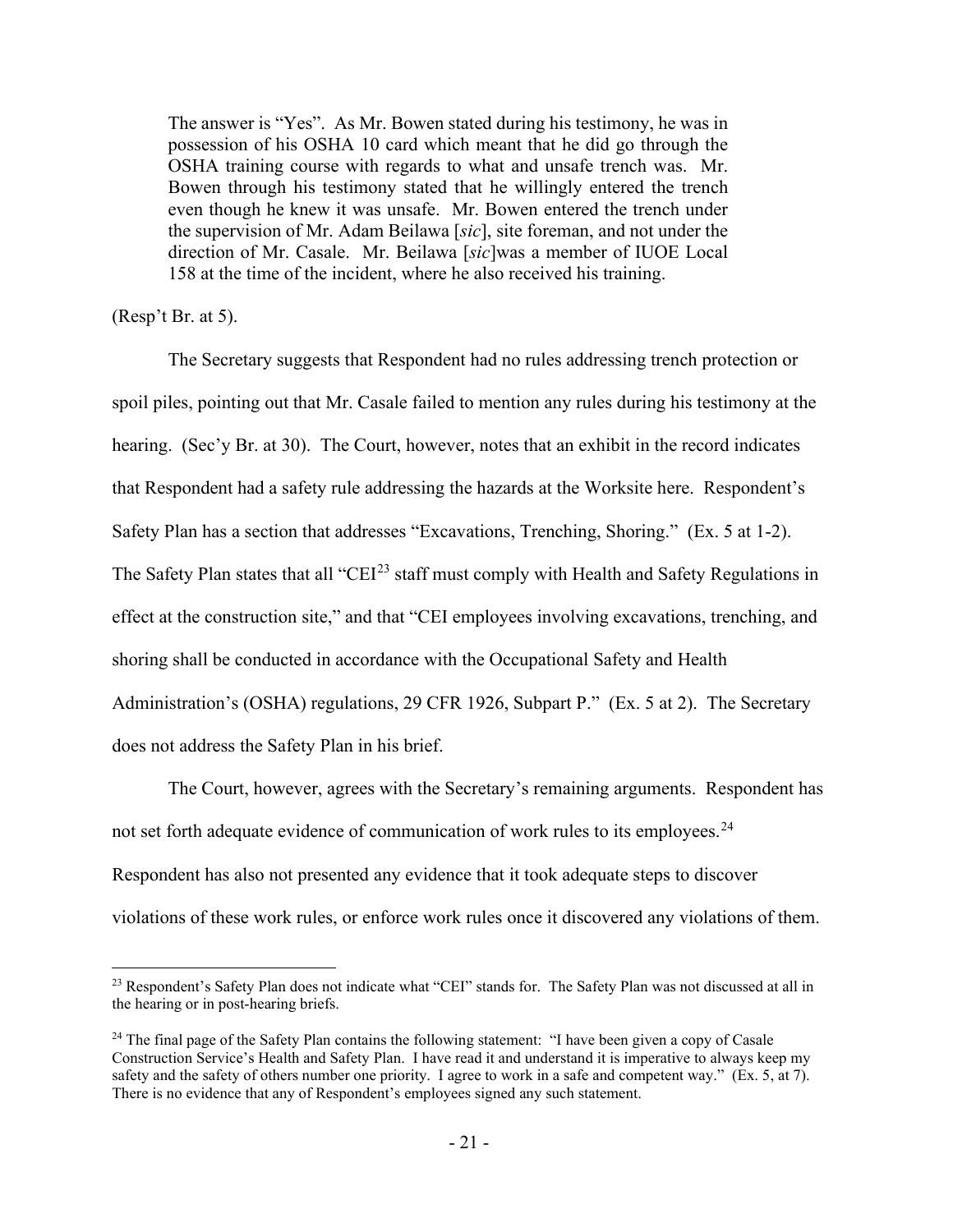The answer is "Yes". As Mr. Bowen stated during his testimony, he was in possession of his OSHA 10 card which meant that he did go through the OSHA training course with regards to what and unsafe trench was. Mr. Bowen through his testimony stated that he willingly entered the trench even though he knew it was unsafe. Mr. Bowen entered the trench under the supervision of Mr. Adam Beilawa [*sic*], site foreman, and not under the direction of Mr. Casale. Mr. Beilawa [*sic*]was a member of IUOE Local 158 at the time of the incident, where he also received his training.

## (Resp't Br. at 5).

 The Secretary suggests that Respondent had no rules addressing trench protection or spoil piles, pointing out that Mr. Casale failed to mention any rules during his testimony at the hearing. (Sec'y Br. at 30). The Court, however, notes that an exhibit in the record indicates that Respondent had a safety rule addressing the hazards at the Worksite here. Respondent's Safety Plan has a section that addresses "Excavations, Trenching, Shoring." (Ex. 5 at 1-2). The Safety Plan states that all "CEI<sup>[23](#page-20-0)</sup> staff must comply with Health and Safety Regulations in effect at the construction site," and that "CEI employees involving excavations, trenching, and shoring shall be conducted in accordance with the Occupational Safety and Health Administration's (OSHA) regulations, 29 CFR 1926, Subpart P." (Ex. 5 at 2). The Secretary does not address the Safety Plan in his brief.

The Court, however, agrees with the Secretary's remaining arguments. Respondent has not set forth adequate evidence of communication of work rules to its employees.<sup>24</sup> Respondent has also not presented any evidence that it took adequate steps to discover violations of these work rules, or enforce work rules once it discovered any violations of them.

<span id="page-20-0"></span><sup>&</sup>lt;sup>23</sup> Respondent's Safety Plan does not indicate what "CEI" stands for. The Safety Plan was not discussed at all in the hearing or in post-hearing briefs.

<span id="page-20-1"></span><sup>&</sup>lt;sup>24</sup> The final page of the Safety Plan contains the following statement: "I have been given a copy of Casale" Construction Service's Health and Safety Plan. I have read it and understand it is imperative to always keep my safety and the safety of others number one priority. I agree to work in a safe and competent way." (Ex. 5, at 7). There is no evidence that any of Respondent's employees signed any such statement.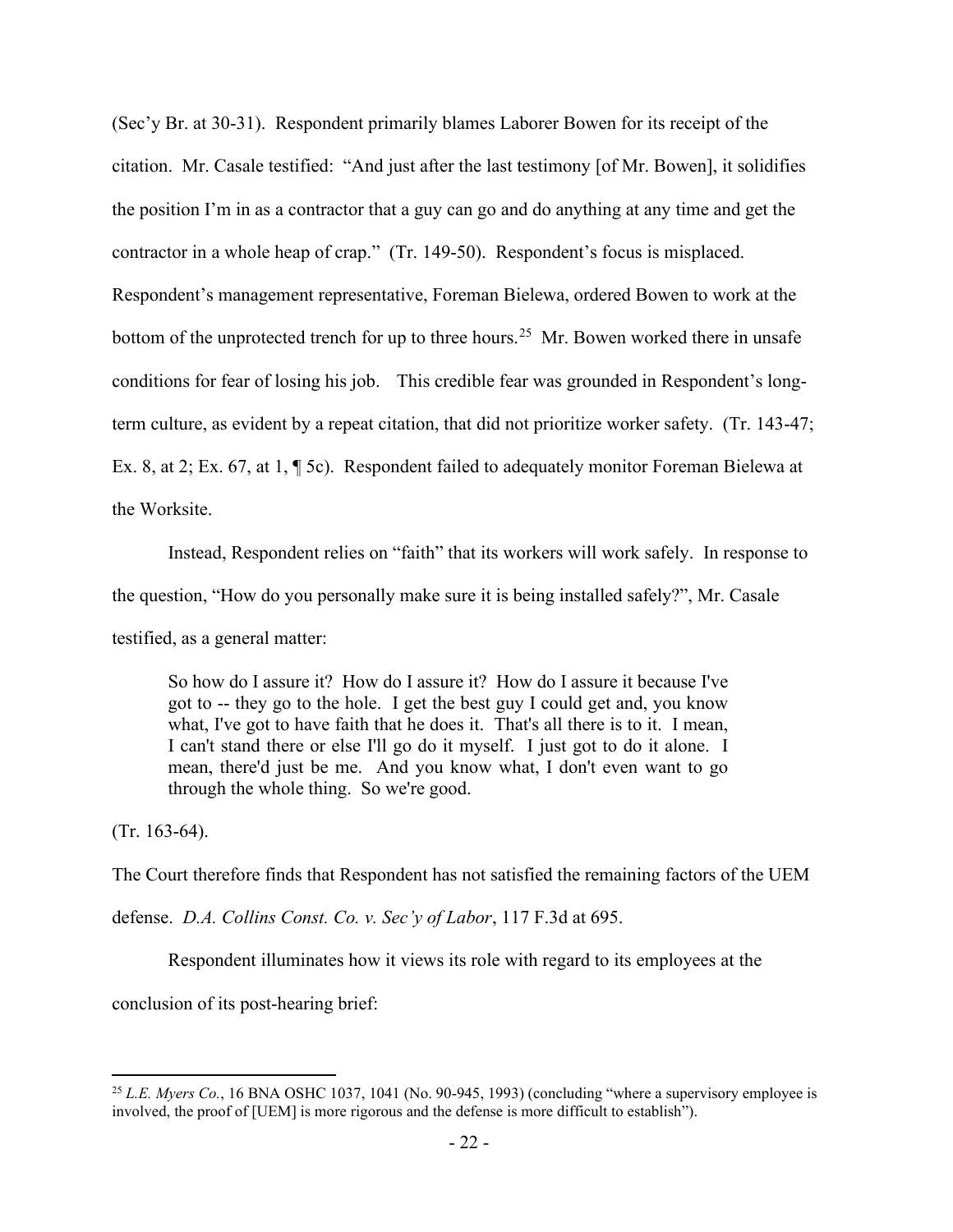(Sec'y Br. at 30-31). Respondent primarily blames Laborer Bowen for its receipt of the citation. Mr. Casale testified: "And just after the last testimony [of Mr. Bowen], it solidifies the position I'm in as a contractor that a guy can go and do anything at any time and get the contractor in a whole heap of crap." (Tr. 149-50). Respondent's focus is misplaced. Respondent's management representative, Foreman Bielewa, ordered Bowen to work at the bottom of the unprotected trench for up to three hours.<sup>25</sup> Mr. Bowen worked there in unsafe conditions for fear of losing his job. This credible fear was grounded in Respondent's longterm culture, as evident by a repeat citation, that did not prioritize worker safety. (Tr. 143-47; Ex. 8, at 2; Ex. 67, at 1, ¶ 5c). Respondent failed to adequately monitor Foreman Bielewa at the Worksite.

Instead, Respondent relies on "faith" that its workers will work safely. In response to the question, "How do you personally make sure it is being installed safely?", Mr. Casale testified, as a general matter:

So how do I assure it? How do I assure it? How do I assure it because I've got to -- they go to the hole. I get the best guy I could get and, you know what, I've got to have faith that he does it. That's all there is to it. I mean, I can't stand there or else I'll go do it myself. I just got to do it alone. I mean, there'd just be me. And you know what, I don't even want to go through the whole thing. So we're good.

(Tr. 163-64).

The Court therefore finds that Respondent has not satisfied the remaining factors of the UEM

defense. *D.A. Collins Const. Co. v. Sec'y of Labor*, 117 F.3d at 695.

Respondent illuminates how it views its role with regard to its employees at the

conclusion of its post-hearing brief:

<span id="page-21-0"></span><sup>&</sup>lt;sup>25</sup> *L.E. Myers Co.*, 16 BNA OSHC 1037, 1041 (No. 90-945, 1993) (concluding "where a supervisory employee is involved, the proof of [UEM] is more rigorous and the defense is more difficult to establish").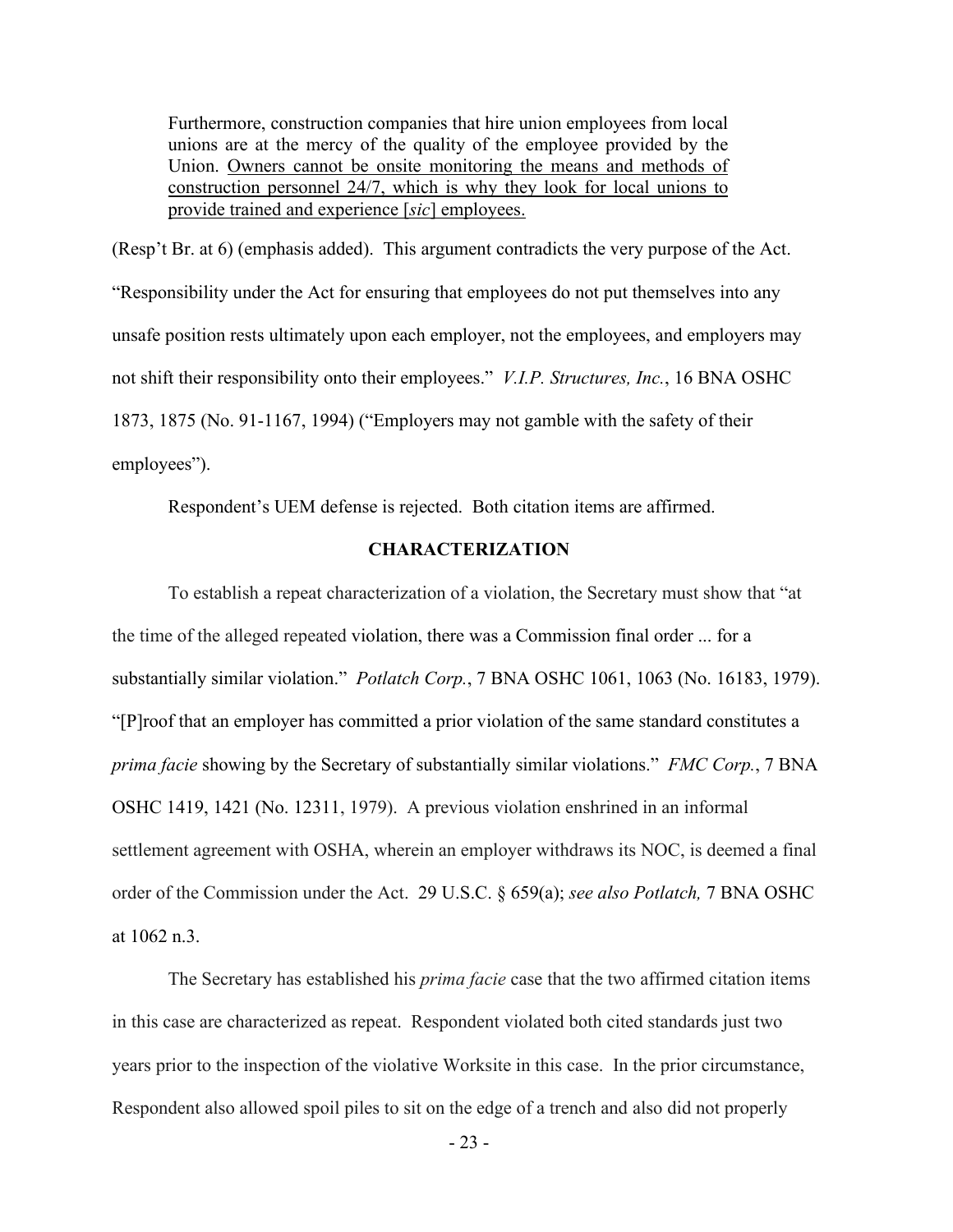Furthermore, construction companies that hire union employees from local unions are at the mercy of the quality of the employee provided by the Union. Owners cannot be onsite monitoring the means and methods of construction personnel 24/7, which is why they look for local unions to provide trained and experience [*sic*] employees.

(Resp't Br. at 6) (emphasis added). This argument contradicts the very purpose of the Act. "Responsibility under the Act for ensuring that employees do not put themselves into any unsafe position rests ultimately upon each employer, not the employees, and employers may not shift their responsibility onto their employees." *V.I.P. Structures, Inc.*, 16 BNA OSHC 1873, 1875 (No. 91-1167, 1994) ("Employers may not gamble with the safety of their employees").

Respondent's UEM defense is rejected. Both citation items are affirmed.

## **CHARACTERIZATION**

To establish a repeat characterization of a violation, the Secretary must show that "at the time of the alleged repeated violation, there was a Commission final order ... for a substantially similar violation." *Potlatch Corp.*, 7 BNA OSHC 1061, 1063 (No. 16183, 1979). "[P]roof that an employer has committed a prior violation of the same standard constitutes a *prima facie* showing by the Secretary of substantially similar violations." *FMC Corp.*, 7 BNA OSHC 1419, 1421 (No. 12311, 1979). A previous violation enshrined in an informal settlement agreement with OSHA, wherein an employer withdraws its NOC, is deemed a final order of the Commission under the Act. 29 U.S.C. § 659(a); *see also Potlatch,* [7 BNA OSHC](https://1.next.westlaw.com/Link/Document/FullText?findType=Y&serNum=2002806750&pubNum=0003227&originatingDoc=I6b98afdb27a711e8ab20b3103407982a&refType=CA&fi=co_pp_sp_3227_1062&originationContext=document&transitionType=DocumentItem&contextData=(sc.Search)#co_pp_sp_3227_1062)  [at 1062](https://1.next.westlaw.com/Link/Document/FullText?findType=Y&serNum=2002806750&pubNum=0003227&originatingDoc=I6b98afdb27a711e8ab20b3103407982a&refType=CA&fi=co_pp_sp_3227_1062&originationContext=document&transitionType=DocumentItem&contextData=(sc.Search)#co_pp_sp_3227_1062) n.3.

The Secretary has established his *prima facie* case that the two affirmed citation items in this case are characterized as repeat. Respondent violated both cited standards just two years prior to the inspection of the violative Worksite in this case. In the prior circumstance, Respondent also allowed spoil piles to sit on the edge of a trench and also did not properly

- 23 -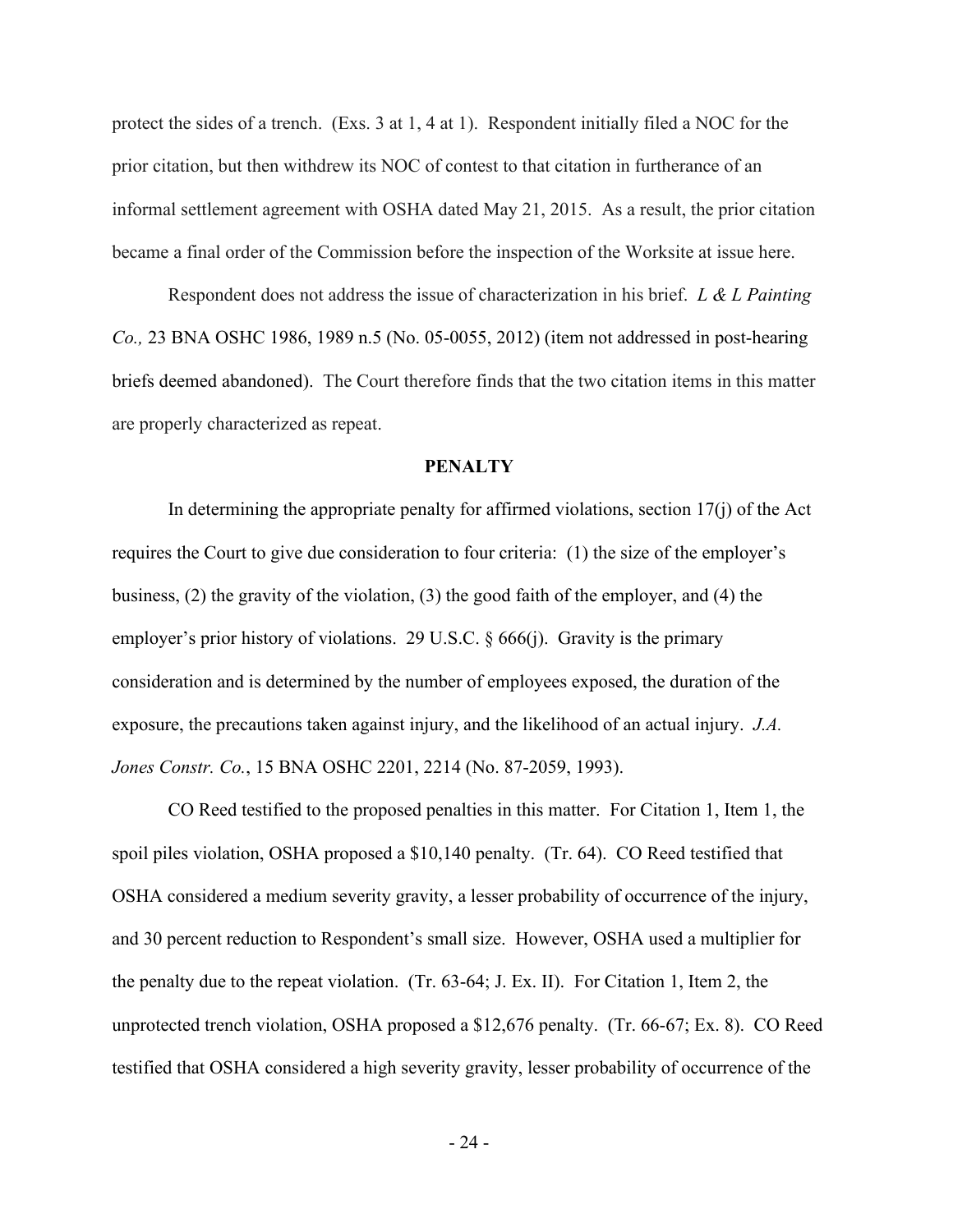protect the sides of a trench. (Exs. 3 at 1, 4 at 1). Respondent initially filed a NOC for the prior citation, but then withdrew its NOC of contest to that citation in furtherance of an informal settlement agreement with OSHA dated May 21, 2015. As a result, the prior citation became a final order of the Commission before the inspection of the Worksite at issue here.

Respondent does not address the issue of characterization in his brief. *L & L Painting Co.,* 23 BNA OSHC 1986, 1989 n.5 (No. 05-0055, 2012) (item not addressed in post-hearing briefs deemed abandoned). The Court therefore finds that the two citation items in this matter are properly characterized as repeat.

#### **PENALTY**

In determining the appropriate penalty for affirmed violations, section  $17(i)$  of the Act requires the Court to give due consideration to four criteria: (1) the size of the employer's business, (2) the gravity of the violation, (3) the good faith of the employer, and (4) the employer's prior history of violations. 29 U.S.C. § 666(j). Gravity is the primary consideration and is determined by the number of employees exposed, the duration of the exposure, the precautions taken against injury, and the likelihood of an actual injury. *J.A. Jones Constr. Co.*, 15 BNA OSHC 2201, 2214 (No. 87-2059, 1993).

CO Reed testified to the proposed penalties in this matter. For Citation 1, Item 1, the spoil piles violation, OSHA proposed a \$10,140 penalty. (Tr. 64). CO Reed testified that OSHA considered a medium severity gravity, a lesser probability of occurrence of the injury, and 30 percent reduction to Respondent's small size. However, OSHA used a multiplier for the penalty due to the repeat violation. (Tr. 63-64; J. Ex. II). For Citation 1, Item 2, the unprotected trench violation, OSHA proposed a \$12,676 penalty. (Tr. 66-67; Ex. 8). CO Reed testified that OSHA considered a high severity gravity, lesser probability of occurrence of the